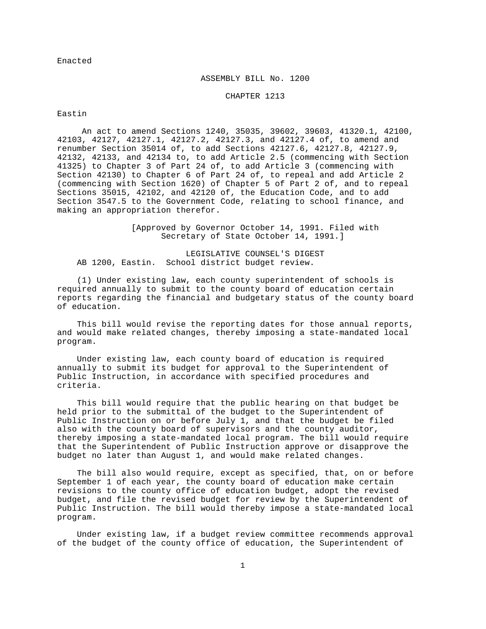Enacted

## ASSEMBLY BILL No. 1200

## CHAPTER 1213

Eastin

 An act to amend Sections 1240, 35035, 39602, 39603, 41320.1, 42100, 42103, 42127, 42127.1, 42127.2, 42127.3, and 42127.4 of, to amend and renumber Section 35014 of, to add Sections 42127.6, 42127.8, 42127.9, 42132, 42133, and 42134 to, to add Article 2.5 (commencing with Section 41325) to Chapter 3 of Part 24 of, to add Article 3 (commencing with Section 42130) to Chapter 6 of Part 24 of, to repeal and add Article 2 (commencing with Section 1620) of Chapter 5 of Part 2 of, and to repeal Sections 35015, 42102, and 42120 of, the Education Code, and to add Section 3547.5 to the Government Code, relating to school finance, and making an appropriation therefor.

> [Approved by Governor October 14, 1991. Filed with Secretary of State October 14, 1991.]

 LEGISLATIVE COUNSEL'S DIGEST AB 1200, Eastin. School district budget review.

 (1) Under existing law, each county superintendent of schools is required annually to submit to the county board of education certain reports regarding the financial and budgetary status of the county board of education.

 This bill would revise the reporting dates for those annual reports, and would make related changes, thereby imposing a state-mandated local program.

 Under existing law, each county board of education is required annually to submit its budget for approval to the Superintendent of Public Instruction, in accordance with specified procedures and criteria.

 This bill would require that the public hearing on that budget be held prior to the submittal of the budget to the Superintendent of Public Instruction on or before July 1, and that the budget be filed also with the county board of supervisors and the county auditor, thereby imposing a state-mandated local program. The bill would require that the Superintendent of Public Instruction approve or disapprove the budget no later than August 1, and would make related changes.

 The bill also would require, except as specified, that, on or before September 1 of each year, the county board of education make certain revisions to the county office of education budget, adopt the revised budget, and file the revised budget for review by the Superintendent of Public Instruction. The bill would thereby impose a state-mandated local program.

 Under existing law, if a budget review committee recommends approval of the budget of the county office of education, the Superintendent of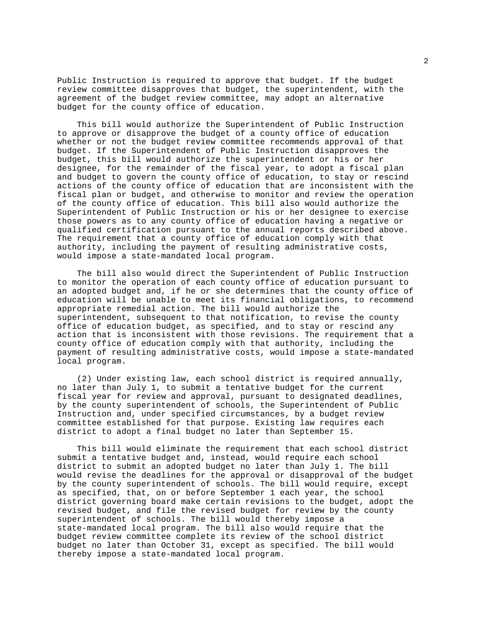Public Instruction is required to approve that budget. If the budget review committee disapproves that budget, the superintendent, with the agreement of the budget review committee, may adopt an alternative budget for the county office of education.

 This bill would authorize the Superintendent of Public Instruction to approve or disapprove the budget of a county office of education whether or not the budget review committee recommends approval of that budget. If the Superintendent of Public Instruction disapproves the budget, this bill would authorize the superintendent or his or her designee, for the remainder of the fiscal year, to adopt a fiscal plan and budget to govern the county office of education, to stay or rescind actions of the county office of education that are inconsistent with the fiscal plan or budget, and otherwise to monitor and review the operation of the county office of education. This bill also would authorize the Superintendent of Public Instruction or his or her designee to exercise those powers as to any county office of education having a negative or qualified certification pursuant to the annual reports described above. The requirement that a county office of education comply with that authority, including the payment of resulting administrative costs, would impose a state-mandated local program.

 The bill also would direct the Superintendent of Public Instruction to monitor the operation of each county office of education pursuant to an adopted budget and, if he or she determines that the county office of education will be unable to meet its financial obligations, to recommend appropriate remedial action. The bill would authorize the superintendent, subsequent to that notification, to revise the county office of education budget, as specified, and to stay or rescind any action that is inconsistent with those revisions. The requirement that a county office of education comply with that authority, including the payment of resulting administrative costs, would impose a state-mandated local program.

 (2) Under existing law, each school district is required annually, no later than July 1, to submit a tentative budget for the current fiscal year for review and approval, pursuant to designated deadlines, by the county superintendent of schools, the Superintendent of Public Instruction and, under specified circumstances, by a budget review committee established for that purpose. Existing law requires each district to adopt a final budget no later than September 15.

 This bill would eliminate the requirement that each school district submit a tentative budget and, instead, would require each school district to submit an adopted budget no later than July 1. The bill would revise the deadlines for the approval or disapproval of the budget by the county superintendent of schools. The bill would require, except as specified, that, on or before September 1 each year, the school district governing board make certain revisions to the budget, adopt the revised budget, and file the revised budget for review by the county superintendent of schools. The bill would thereby impose a state-mandated local program. The bill also would require that the budget review committee complete its review of the school district budget no later than October 31, except as specified. The bill would thereby impose a state-mandated local program.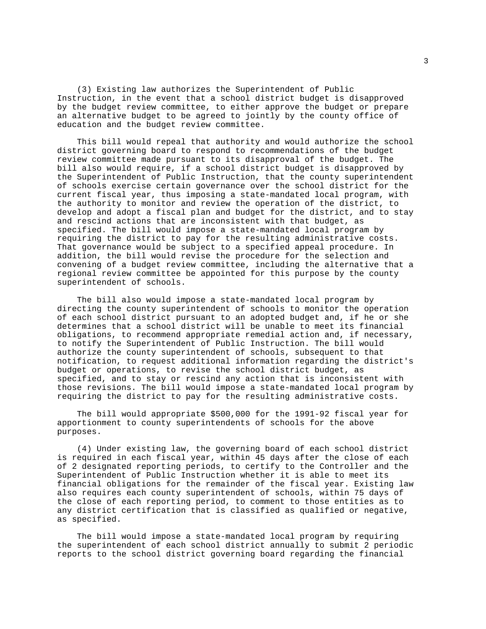(3) Existing law authorizes the Superintendent of Public Instruction, in the event that a school district budget is disapproved by the budget review committee, to either approve the budget or prepare an alternative budget to be agreed to jointly by the county office of education and the budget review committee.

 This bill would repeal that authority and would authorize the school district governing board to respond to recommendations of the budget review committee made pursuant to its disapproval of the budget. The bill also would require, if a school district budget is disapproved by the Superintendent of Public Instruction, that the county superintendent of schools exercise certain governance over the school district for the current fiscal year, thus imposing a state-mandated local program, with the authority to monitor and review the operation of the district, to develop and adopt a fiscal plan and budget for the district, and to stay and rescind actions that are inconsistent with that budget, as specified. The bill would impose a state-mandated local program by requiring the district to pay for the resulting administrative costs. That governance would be subject to a specified appeal procedure. In addition, the bill would revise the procedure for the selection and convening of a budget review committee, including the alternative that a regional review committee be appointed for this purpose by the county superintendent of schools.

 The bill also would impose a state-mandated local program by directing the county superintendent of schools to monitor the operation of each school district pursuant to an adopted budget and, if he or she determines that a school district will be unable to meet its financial obligations, to recommend appropriate remedial action and, if necessary, to notify the Superintendent of Public Instruction. The bill would authorize the county superintendent of schools, subsequent to that notification, to request additional information regarding the district's budget or operations, to revise the school district budget, as specified, and to stay or rescind any action that is inconsistent with those revisions. The bill would impose a state-mandated local program by requiring the district to pay for the resulting administrative costs.

 The bill would appropriate \$500,000 for the 1991-92 fiscal year for apportionment to county superintendents of schools for the above purposes.

 (4) Under existing law, the governing board of each school district is required in each fiscal year, within 45 days after the close of each of 2 designated reporting periods, to certify to the Controller and the Superintendent of Public Instruction whether it is able to meet its financial obligations for the remainder of the fiscal year. Existing law also requires each county superintendent of schools, within 75 days of the close of each reporting period, to comment to those entities as to any district certification that is classified as qualified or negative, as specified.

 The bill would impose a state-mandated local program by requiring the superintendent of each school district annually to submit 2 periodic reports to the school district governing board regarding the financial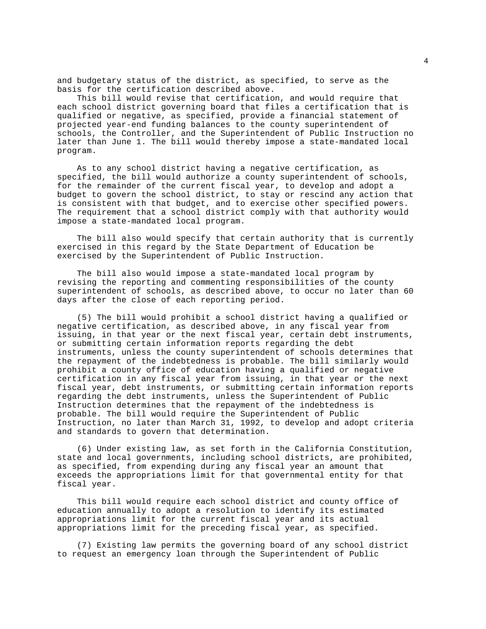and budgetary status of the district, as specified, to serve as the basis for the certification described above.

 This bill would revise that certification, and would require that each school district governing board that files a certification that is qualified or negative, as specified, provide a financial statement of projected year-end funding balances to the county superintendent of schools, the Controller, and the Superintendent of Public Instruction no later than June 1. The bill would thereby impose a state-mandated local program.

 As to any school district having a negative certification, as specified, the bill would authorize a county superintendent of schools, for the remainder of the current fiscal year, to develop and adopt a budget to govern the school district, to stay or rescind any action that is consistent with that budget, and to exercise other specified powers. The requirement that a school district comply with that authority would impose a state-mandated local program.

 The bill also would specify that certain authority that is currently exercised in this regard by the State Department of Education be exercised by the Superintendent of Public Instruction.

 The bill also would impose a state-mandated local program by revising the reporting and commenting responsibilities of the county superintendent of schools, as described above, to occur no later than 60 days after the close of each reporting period.

 (5) The bill would prohibit a school district having a qualified or negative certification, as described above, in any fiscal year from issuing, in that year or the next fiscal year, certain debt instruments, or submitting certain information reports regarding the debt instruments, unless the county superintendent of schools determines that the repayment of the indebtedness is probable. The bill similarly would prohibit a county office of education having a qualified or negative certification in any fiscal year from issuing, in that year or the next fiscal year, debt instruments, or submitting certain information reports regarding the debt instruments, unless the Superintendent of Public Instruction determines that the repayment of the indebtedness is probable. The bill would require the Superintendent of Public Instruction, no later than March 31, 1992, to develop and adopt criteria and standards to govern that determination.

 (6) Under existing law, as set forth in the California Constitution, state and local governments, including school districts, are prohibited, as specified, from expending during any fiscal year an amount that exceeds the appropriations limit for that governmental entity for that fiscal year.

 This bill would require each school district and county office of education annually to adopt a resolution to identify its estimated appropriations limit for the current fiscal year and its actual appropriations limit for the preceding fiscal year, as specified.

 (7) Existing law permits the governing board of any school district to request an emergency loan through the Superintendent of Public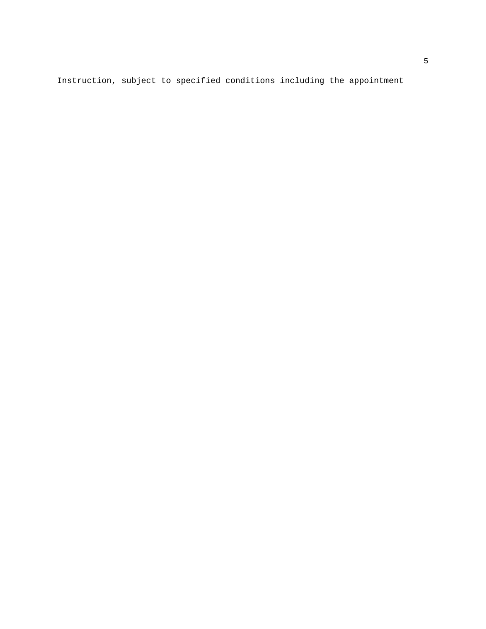Instruction, subject to specified conditions including the appointment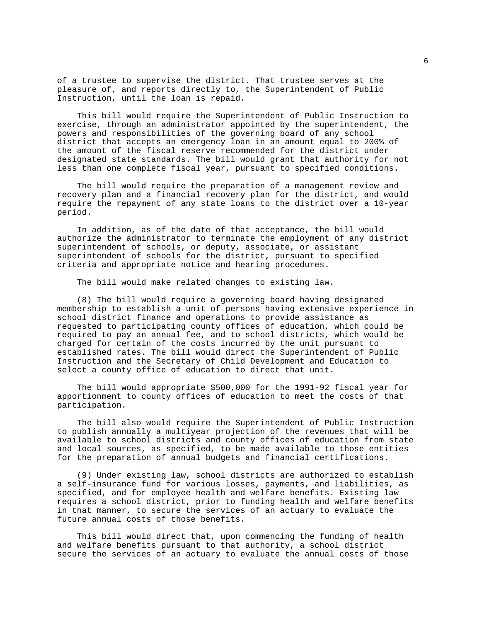of a trustee to supervise the district. That trustee serves at the pleasure of, and reports directly to, the Superintendent of Public Instruction, until the loan is repaid.

 This bill would require the Superintendent of Public Instruction to exercise, through an administrator appointed by the superintendent, the powers and responsibilities of the governing board of any school district that accepts an emergency loan in an amount equal to 200% of the amount of the fiscal reserve recommended for the district under designated state standards. The bill would grant that authority for not less than one complete fiscal year, pursuant to specified conditions.

 The bill would require the preparation of a management review and recovery plan and a financial recovery plan for the district, and would require the repayment of any state loans to the district over a 10-year period.

 In addition, as of the date of that acceptance, the bill would authorize the administrator to terminate the employment of any district superintendent of schools, or deputy, associate, or assistant superintendent of schools for the district, pursuant to specified criteria and appropriate notice and hearing procedures.

The bill would make related changes to existing law.

 (8) The bill would require a governing board having designated membership to establish a unit of persons having extensive experience in school district finance and operations to provide assistance as requested to participating county offices of education, which could be required to pay an annual fee, and to school districts, which would be charged for certain of the costs incurred by the unit pursuant to established rates. The bill would direct the Superintendent of Public Instruction and the Secretary of Child Development and Education to select a county office of education to direct that unit.

 The bill would appropriate \$500,000 for the 1991-92 fiscal year for apportionment to county offices of education to meet the costs of that participation.

 The bill also would require the Superintendent of Public Instruction to publish annually a multiyear projection of the revenues that will be available to school districts and county offices of education from state and local sources, as specified, to be made available to those entities for the preparation of annual budgets and financial certifications.

 (9) Under existing law, school districts are authorized to establish a self-insurance fund for various losses, payments, and liabilities, as specified, and for employee health and welfare benefits. Existing law requires a school district, prior to funding health and welfare benefits in that manner, to secure the services of an actuary to evaluate the future annual costs of those benefits.

 This bill would direct that, upon commencing the funding of health and welfare benefits pursuant to that authority, a school district secure the services of an actuary to evaluate the annual costs of those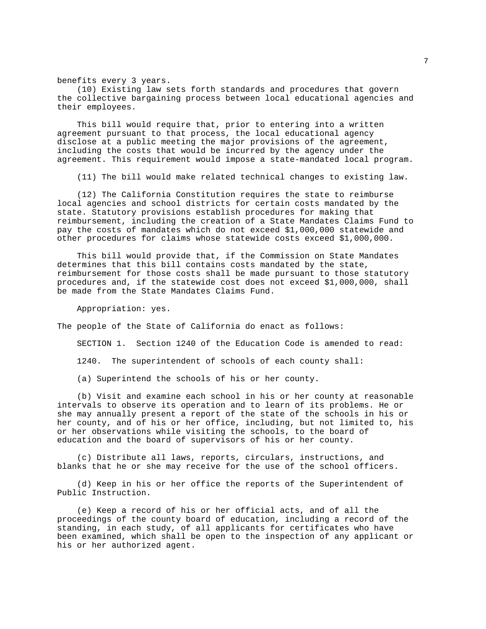benefits every 3 years.

 (10) Existing law sets forth standards and procedures that govern the collective bargaining process between local educational agencies and their employees.

 This bill would require that, prior to entering into a written agreement pursuant to that process, the local educational agency disclose at a public meeting the major provisions of the agreement, including the costs that would be incurred by the agency under the agreement. This requirement would impose a state-mandated local program.

(11) The bill would make related technical changes to existing law.

 (12) The California Constitution requires the state to reimburse local agencies and school districts for certain costs mandated by the state. Statutory provisions establish procedures for making that reimbursement, including the creation of a State Mandates Claims Fund to pay the costs of mandates which do not exceed \$1,000,000 statewide and other procedures for claims whose statewide costs exceed \$1,000,000.

 This bill would provide that, if the Commission on State Mandates determines that this bill contains costs mandated by the state, reimbursement for those costs shall be made pursuant to those statutory procedures and, if the statewide cost does not exceed \$1,000,000, shall be made from the State Mandates Claims Fund.

Appropriation: yes.

The people of the State of California do enact as follows:

SECTION 1. Section 1240 of the Education Code is amended to read:

1240. The superintendent of schools of each county shall:

(a) Superintend the schools of his or her county.

 (b) Visit and examine each school in his or her county at reasonable intervals to observe its operation and to learn of its problems. He or she may annually present a report of the state of the schools in his or her county, and of his or her office, including, but not limited to, his or her observations while visiting the schools, to the board of education and the board of supervisors of his or her county.

 (c) Distribute all laws, reports, circulars, instructions, and blanks that he or she may receive for the use of the school officers.

 (d) Keep in his or her office the reports of the Superintendent of Public Instruction.

 (e) Keep a record of his or her official acts, and of all the proceedings of the county board of education, including a record of the standing, in each study, of all applicants for certificates who have been examined, which shall be open to the inspection of any applicant or his or her authorized agent.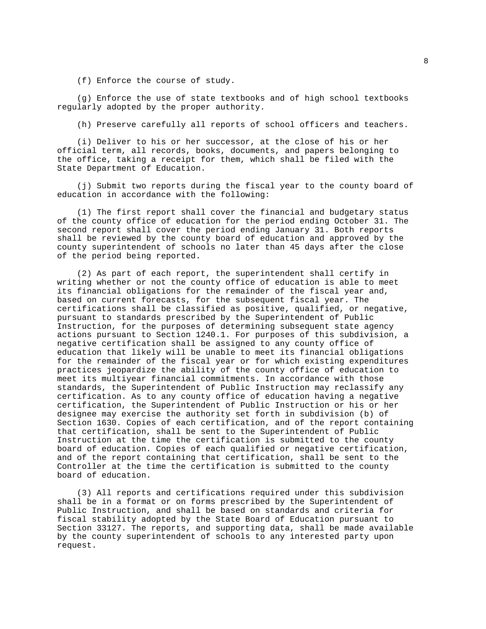(f) Enforce the course of study.

 (g) Enforce the use of state textbooks and of high school textbooks regularly adopted by the proper authority.

(h) Preserve carefully all reports of school officers and teachers.

 (i) Deliver to his or her successor, at the close of his or her official term, all records, books, documents, and papers belonging to the office, taking a receipt for them, which shall be filed with the State Department of Education.

 (j) Submit two reports during the fiscal year to the county board of education in accordance with the following:

 (1) The first report shall cover the financial and budgetary status of the county office of education for the period ending October 31. The second report shall cover the period ending January 31. Both reports shall be reviewed by the county board of education and approved by the county superintendent of schools no later than 45 days after the close of the period being reported.

 (2) As part of each report, the superintendent shall certify in writing whether or not the county office of education is able to meet its financial obligations for the remainder of the fiscal year and, based on current forecasts, for the subsequent fiscal year. The certifications shall be classified as positive, qualified, or negative, pursuant to standards prescribed by the Superintendent of Public Instruction, for the purposes of determining subsequent state agency actions pursuant to Section 1240.1. For purposes of this subdivision, a negative certification shall be assigned to any county office of education that likely will be unable to meet its financial obligations for the remainder of the fiscal year or for which existing expenditures practices jeopardize the ability of the county office of education to meet its multiyear financial commitments. In accordance with those standards, the Superintendent of Public Instruction may reclassify any certification. As to any county office of education having a negative certification, the Superintendent of Public Instruction or his or her designee may exercise the authority set forth in subdivision (b) of Section 1630. Copies of each certification, and of the report containing that certification, shall be sent to the Superintendent of Public Instruction at the time the certification is submitted to the county board of education. Copies of each qualified or negative certification, and of the report containing that certification, shall be sent to the Controller at the time the certification is submitted to the county board of education.

 (3) All reports and certifications required under this subdivision shall be in a format or on forms prescribed by the Superintendent of Public Instruction, and shall be based on standards and criteria for fiscal stability adopted by the State Board of Education pursuant to Section 33127. The reports, and supporting data, shall be made available by the county superintendent of schools to any interested party upon request.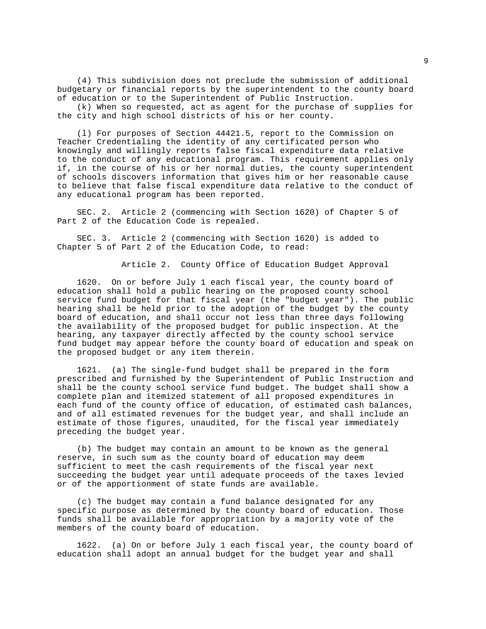(4) This subdivision does not preclude the submission of additional budgetary or financial reports by the superintendent to the county board of education or to the Superintendent of Public Instruction.

 (k) When so requested, act as agent for the purchase of supplies for the city and high school districts of his or her county.

 (l) For purposes of Section 44421.5, report to the Commission on Teacher Credentialing the identity of any certificated person who knowingly and willingly reports false fiscal expenditure data relative to the conduct of any educational program. This requirement applies only if, in the course of his or her normal duties, the county superintendent of schools discovers information that gives him or her reasonable cause to believe that false fiscal expenditure data relative to the conduct of any educational program has been reported.

 SEC. 2. Article 2 (commencing with Section 1620) of Chapter 5 of Part 2 of the Education Code is repealed.

 SEC. 3. Article 2 (commencing with Section 1620) is added to Chapter 5 of Part 2 of the Education Code, to read:

Article 2. County Office of Education Budget Approval

 1620. On or before July 1 each fiscal year, the county board of education shall hold a public hearing on the proposed county school service fund budget for that fiscal year (the "budget year"). The public hearing shall be held prior to the adoption of the budget by the county board of education, and shall occur not less than three days following the availability of the proposed budget for public inspection. At the hearing, any taxpayer directly affected by the county school service fund budget may appear before the county board of education and speak on the proposed budget or any item therein.

 1621. (a) The single-fund budget shall be prepared in the form prescribed and furnished by the Superintendent of Public Instruction and shall be the county school service fund budget. The budget shall show a complete plan and itemized statement of all proposed expenditures in each fund of the county office of education, of estimated cash balances, and of all estimated revenues for the budget year, and shall include an estimate of those figures, unaudited, for the fiscal year immediately preceding the budget year.

 (b) The budget may contain an amount to be known as the general reserve, in such sum as the county board of education may deem sufficient to meet the cash requirements of the fiscal year next succeeding the budget year until adequate proceeds of the taxes levied or of the apportionment of state funds are available.

 (c) The budget may contain a fund balance designated for any specific purpose as determined by the county board of education. Those funds shall be available for appropriation by a majority vote of the members of the county board of education.

 1622. (a) On or before July 1 each fiscal year, the county board of education shall adopt an annual budget for the budget year and shall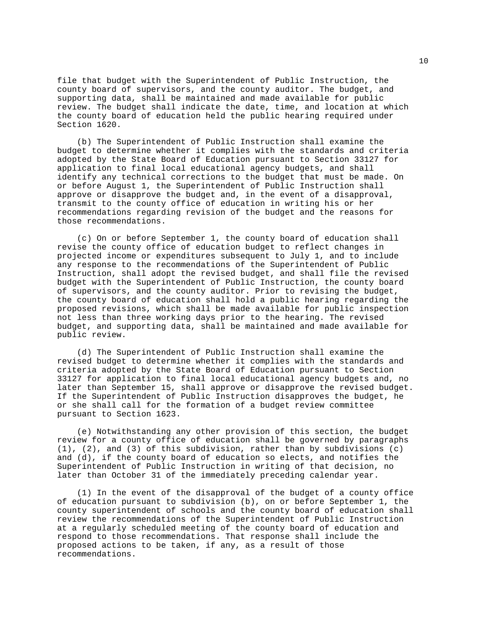file that budget with the Superintendent of Public Instruction, the county board of supervisors, and the county auditor. The budget, and supporting data, shall be maintained and made available for public review. The budget shall indicate the date, time, and location at which the county board of education held the public hearing required under Section 1620.

 (b) The Superintendent of Public Instruction shall examine the budget to determine whether it complies with the standards and criteria adopted by the State Board of Education pursuant to Section 33127 for application to final local educational agency budgets, and shall identify any technical corrections to the budget that must be made. On or before August 1, the Superintendent of Public Instruction shall approve or disapprove the budget and, in the event of a disapproval, transmit to the county office of education in writing his or her recommendations regarding revision of the budget and the reasons for those recommendations.

 (c) On or before September 1, the county board of education shall revise the county office of education budget to reflect changes in projected income or expenditures subsequent to July 1, and to include any response to the recommendations of the Superintendent of Public Instruction, shall adopt the revised budget, and shall file the revised budget with the Superintendent of Public Instruction, the county board of supervisors, and the county auditor. Prior to revising the budget, the county board of education shall hold a public hearing regarding the proposed revisions, which shall be made available for public inspection not less than three working days prior to the hearing. The revised budget, and supporting data, shall be maintained and made available for public review.

 (d) The Superintendent of Public Instruction shall examine the revised budget to determine whether it complies with the standards and criteria adopted by the State Board of Education pursuant to Section 33127 for application to final local educational agency budgets and, no later than September 15, shall approve or disapprove the revised budget. If the Superintendent of Public Instruction disapproves the budget, he or she shall call for the formation of a budget review committee pursuant to Section 1623.

 (e) Notwithstanding any other provision of this section, the budget review for a county office of education shall be governed by paragraphs (1), (2), and (3) of this subdivision, rather than by subdivisions (c) and (d), if the county board of education so elects, and notifies the Superintendent of Public Instruction in writing of that decision, no later than October 31 of the immediately preceding calendar year.

 (1) In the event of the disapproval of the budget of a county office of education pursuant to subdivision (b), on or before September 1, the county superintendent of schools and the county board of education shall review the recommendations of the Superintendent of Public Instruction at a regularly scheduled meeting of the county board of education and respond to those recommendations. That response shall include the proposed actions to be taken, if any, as a result of those recommendations.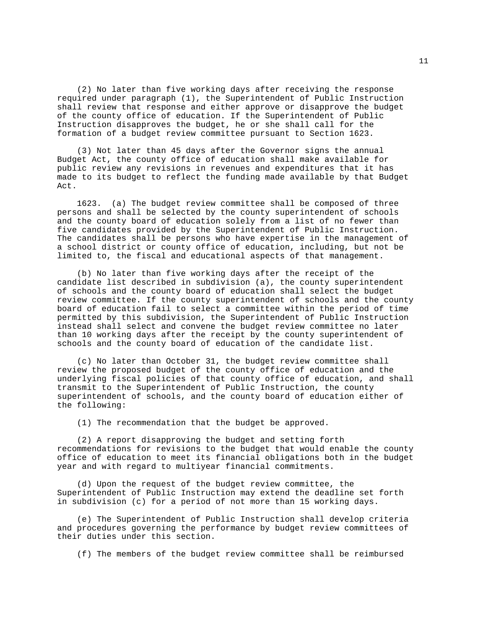(2) No later than five working days after receiving the response required under paragraph (1), the Superintendent of Public Instruction shall review that response and either approve or disapprove the budget of the county office of education. If the Superintendent of Public Instruction disapproves the budget, he or she shall call for the formation of a budget review committee pursuant to Section 1623.

 (3) Not later than 45 days after the Governor signs the annual Budget Act, the county office of education shall make available for public review any revisions in revenues and expenditures that it has made to its budget to reflect the funding made available by that Budget Act.

 1623. (a) The budget review committee shall be composed of three persons and shall be selected by the county superintendent of schools and the county board of education solely from a list of no fewer than five candidates provided by the Superintendent of Public Instruction. The candidates shall be persons who have expertise in the management of a school district or county office of education, including, but not be limited to, the fiscal and educational aspects of that management.

 (b) No later than five working days after the receipt of the candidate list described in subdivision (a), the county superintendent of schools and the county board of education shall select the budget review committee. If the county superintendent of schools and the county board of education fail to select a committee within the period of time permitted by this subdivision, the Superintendent of Public Instruction instead shall select and convene the budget review committee no later than 10 working days after the receipt by the county superintendent of schools and the county board of education of the candidate list.

 (c) No later than October 31, the budget review committee shall review the proposed budget of the county office of education and the underlying fiscal policies of that county office of education, and shall transmit to the Superintendent of Public Instruction, the county superintendent of schools, and the county board of education either of the following:

(1) The recommendation that the budget be approved.

 (2) A report disapproving the budget and setting forth recommendations for revisions to the budget that would enable the county office of education to meet its financial obligations both in the budget year and with regard to multiyear financial commitments.

 (d) Upon the request of the budget review committee, the Superintendent of Public Instruction may extend the deadline set forth in subdivision (c) for a period of not more than 15 working days.

 (e) The Superintendent of Public Instruction shall develop criteria and procedures governing the performance by budget review committees of their duties under this section.

(f) The members of the budget review committee shall be reimbursed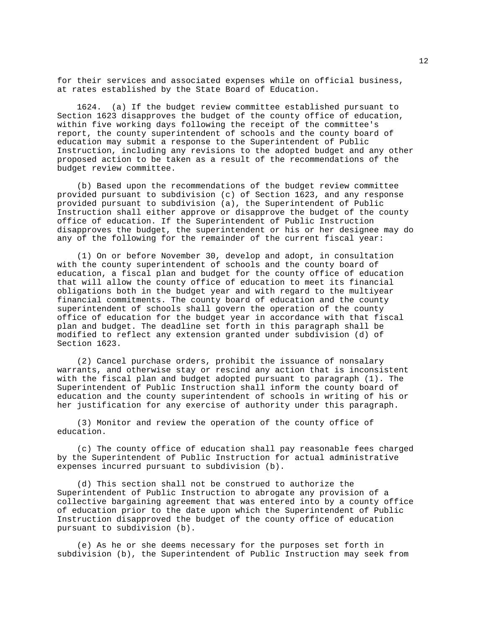for their services and associated expenses while on official business, at rates established by the State Board of Education.

 1624. (a) If the budget review committee established pursuant to Section 1623 disapproves the budget of the county office of education, within five working days following the receipt of the committee's report, the county superintendent of schools and the county board of education may submit a response to the Superintendent of Public Instruction, including any revisions to the adopted budget and any other proposed action to be taken as a result of the recommendations of the budget review committee.

 (b) Based upon the recommendations of the budget review committee provided pursuant to subdivision (c) of Section 1623, and any response provided pursuant to subdivision (a), the Superintendent of Public Instruction shall either approve or disapprove the budget of the county office of education. If the Superintendent of Public Instruction disapproves the budget, the superintendent or his or her designee may do any of the following for the remainder of the current fiscal year:

 (1) On or before November 30, develop and adopt, in consultation with the county superintendent of schools and the county board of education, a fiscal plan and budget for the county office of education that will allow the county office of education to meet its financial obligations both in the budget year and with regard to the multiyear financial commitments. The county board of education and the county superintendent of schools shall govern the operation of the county office of education for the budget year in accordance with that fiscal plan and budget. The deadline set forth in this paragraph shall be modified to reflect any extension granted under subdivision (d) of Section 1623.

 (2) Cancel purchase orders, prohibit the issuance of nonsalary warrants, and otherwise stay or rescind any action that is inconsistent with the fiscal plan and budget adopted pursuant to paragraph (1). The Superintendent of Public Instruction shall inform the county board of education and the county superintendent of schools in writing of his or her justification for any exercise of authority under this paragraph.

 (3) Monitor and review the operation of the county office of education.

 (c) The county office of education shall pay reasonable fees charged by the Superintendent of Public Instruction for actual administrative expenses incurred pursuant to subdivision (b).

 (d) This section shall not be construed to authorize the Superintendent of Public Instruction to abrogate any provision of a collective bargaining agreement that was entered into by a county office of education prior to the date upon which the Superintendent of Public Instruction disapproved the budget of the county office of education pursuant to subdivision (b).

 (e) As he or she deems necessary for the purposes set forth in subdivision (b), the Superintendent of Public Instruction may seek from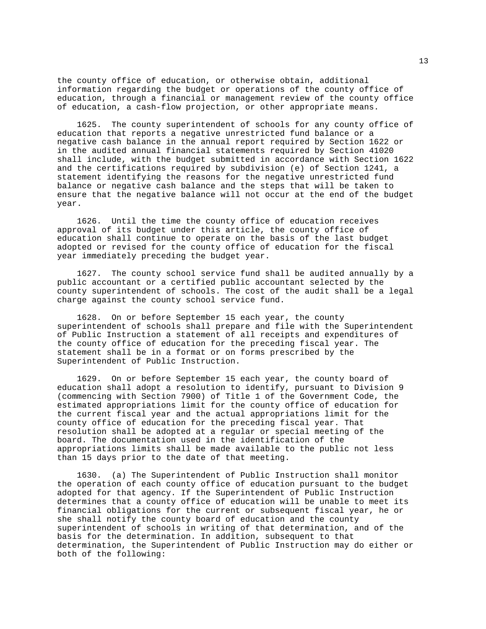the county office of education, or otherwise obtain, additional information regarding the budget or operations of the county office of education, through a financial or management review of the county office of education, a cash-flow projection, or other appropriate means.

 1625. The county superintendent of schools for any county office of education that reports a negative unrestricted fund balance or a negative cash balance in the annual report required by Section 1622 or in the audited annual financial statements required by Section 41020 shall include, with the budget submitted in accordance with Section 1622 and the certifications required by subdivision (e) of Section 1241, a statement identifying the reasons for the negative unrestricted fund balance or negative cash balance and the steps that will be taken to ensure that the negative balance will not occur at the end of the budget year.

 1626. Until the time the county office of education receives approval of its budget under this article, the county office of education shall continue to operate on the basis of the last budget adopted or revised for the county office of education for the fiscal year immediately preceding the budget year.

 1627. The county school service fund shall be audited annually by a public accountant or a certified public accountant selected by the county superintendent of schools. The cost of the audit shall be a legal charge against the county school service fund.

 1628. On or before September 15 each year, the county superintendent of schools shall prepare and file with the Superintendent of Public Instruction a statement of all receipts and expenditures of the county office of education for the preceding fiscal year. The statement shall be in a format or on forms prescribed by the Superintendent of Public Instruction.

 1629. On or before September 15 each year, the county board of education shall adopt a resolution to identify, pursuant to Division 9 (commencing with Section 7900) of Title 1 of the Government Code, the estimated appropriations limit for the county office of education for the current fiscal year and the actual appropriations limit for the county office of education for the preceding fiscal year. That resolution shall be adopted at a regular or special meeting of the board. The documentation used in the identification of the appropriations limits shall be made available to the public not less than 15 days prior to the date of that meeting.

 1630. (a) The Superintendent of Public Instruction shall monitor the operation of each county office of education pursuant to the budget adopted for that agency. If the Superintendent of Public Instruction determines that a county office of education will be unable to meet its financial obligations for the current or subsequent fiscal year, he or she shall notify the county board of education and the county superintendent of schools in writing of that determination, and of the basis for the determination. In addition, subsequent to that determination, the Superintendent of Public Instruction may do either or both of the following: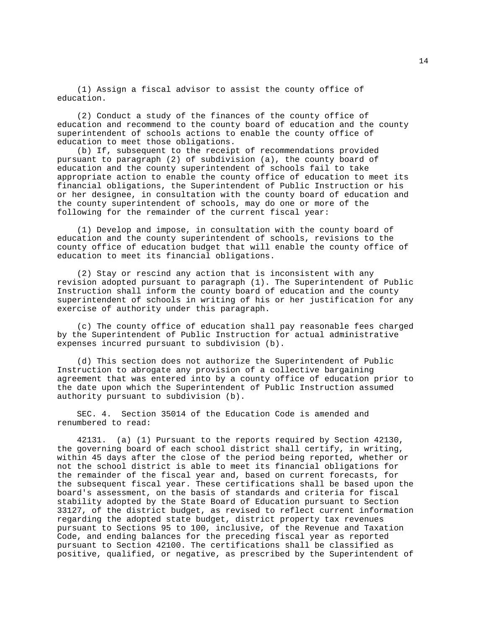(1) Assign a fiscal advisor to assist the county office of education.

 (2) Conduct a study of the finances of the county office of education and recommend to the county board of education and the county superintendent of schools actions to enable the county office of education to meet those obligations.

 (b) If, subsequent to the receipt of recommendations provided pursuant to paragraph (2) of subdivision (a), the county board of education and the county superintendent of schools fail to take appropriate action to enable the county office of education to meet its financial obligations, the Superintendent of Public Instruction or his or her designee, in consultation with the county board of education and the county superintendent of schools, may do one or more of the following for the remainder of the current fiscal year:

 (1) Develop and impose, in consultation with the county board of education and the county superintendent of schools, revisions to the county office of education budget that will enable the county office of education to meet its financial obligations.

 (2) Stay or rescind any action that is inconsistent with any revision adopted pursuant to paragraph (1). The Superintendent of Public Instruction shall inform the county board of education and the county superintendent of schools in writing of his or her justification for any exercise of authority under this paragraph.

 (c) The county office of education shall pay reasonable fees charged by the Superintendent of Public Instruction for actual administrative expenses incurred pursuant to subdivision (b).

 (d) This section does not authorize the Superintendent of Public Instruction to abrogate any provision of a collective bargaining agreement that was entered into by a county office of education prior to the date upon which the Superintendent of Public Instruction assumed authority pursuant to subdivision (b).

 SEC. 4. Section 35014 of the Education Code is amended and renumbered to read:

 42131. (a) (1) Pursuant to the reports required by Section 42130, the governing board of each school district shall certify, in writing, within 45 days after the close of the period being reported, whether or not the school district is able to meet its financial obligations for the remainder of the fiscal year and, based on current forecasts, for the subsequent fiscal year. These certifications shall be based upon the board's assessment, on the basis of standards and criteria for fiscal stability adopted by the State Board of Education pursuant to Section 33127, of the district budget, as revised to reflect current information regarding the adopted state budget, district property tax revenues pursuant to Sections 95 to 100, inclusive, of the Revenue and Taxation Code, and ending balances for the preceding fiscal year as reported pursuant to Section 42100. The certifications shall be classified as positive, qualified, or negative, as prescribed by the Superintendent of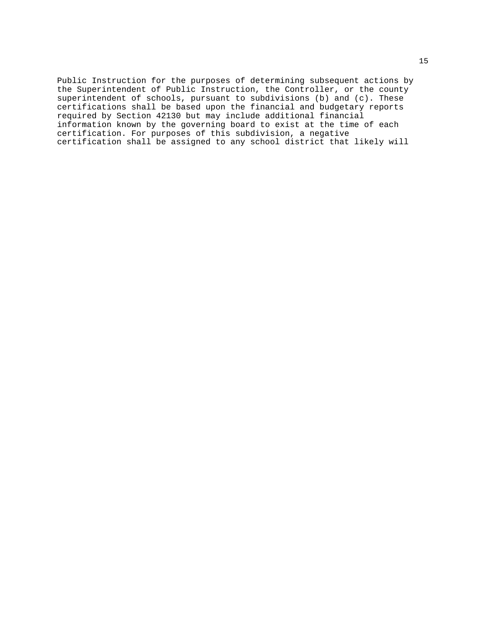Public Instruction for the purposes of determining subsequent actions by the Superintendent of Public Instruction, the Controller, or the county superintendent of schools, pursuant to subdivisions (b) and (c). These certifications shall be based upon the financial and budgetary reports required by Section 42130 but may include additional financial information known by the governing board to exist at the time of each certification. For purposes of this subdivision, a negative certification shall be assigned to any school district that likely will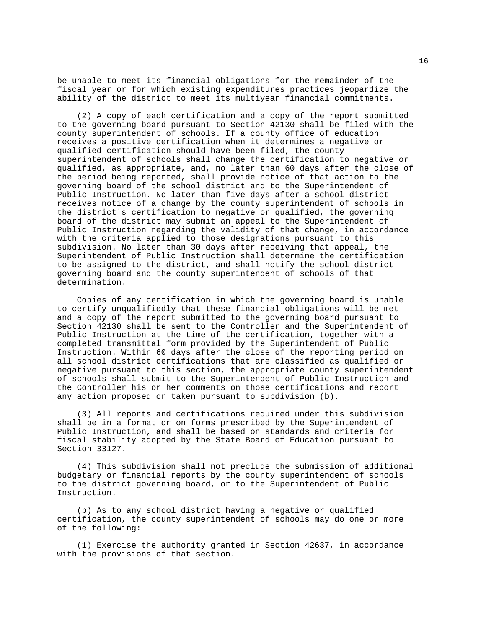be unable to meet its financial obligations for the remainder of the fiscal year or for which existing expenditures practices jeopardize the ability of the district to meet its multiyear financial commitments.

 (2) A copy of each certification and a copy of the report submitted to the governing board pursuant to Section 42130 shall be filed with the county superintendent of schools. If a county office of education receives a positive certification when it determines a negative or qualified certification should have been filed, the county superintendent of schools shall change the certification to negative or qualified, as appropriate, and, no later than 60 days after the close of the period being reported, shall provide notice of that action to the governing board of the school district and to the Superintendent of Public Instruction. No later than five days after a school district receives notice of a change by the county superintendent of schools in the district's certification to negative or qualified, the governing board of the district may submit an appeal to the Superintendent of Public Instruction regarding the validity of that change, in accordance with the criteria applied to those designations pursuant to this subdivision. No later than 30 days after receiving that appeal, the Superintendent of Public Instruction shall determine the certification to be assigned to the district, and shall notify the school district governing board and the county superintendent of schools of that determination.

 Copies of any certification in which the governing board is unable to certify unqualifiedly that these financial obligations will be met and a copy of the report submitted to the governing board pursuant to Section 42130 shall be sent to the Controller and the Superintendent of Public Instruction at the time of the certification, together with a completed transmittal form provided by the Superintendent of Public Instruction. Within 60 days after the close of the reporting period on all school district certifications that are classified as qualified or negative pursuant to this section, the appropriate county superintendent of schools shall submit to the Superintendent of Public Instruction and the Controller his or her comments on those certifications and report any action proposed or taken pursuant to subdivision (b).

 (3) All reports and certifications required under this subdivision shall be in a format or on forms prescribed by the Superintendent of Public Instruction, and shall be based on standards and criteria for fiscal stability adopted by the State Board of Education pursuant to Section 33127.

 (4) This subdivision shall not preclude the submission of additional budgetary or financial reports by the county superintendent of schools to the district governing board, or to the Superintendent of Public Instruction.

 (b) As to any school district having a negative or qualified certification, the county superintendent of schools may do one or more of the following:

 (1) Exercise the authority granted in Section 42637, in accordance with the provisions of that section.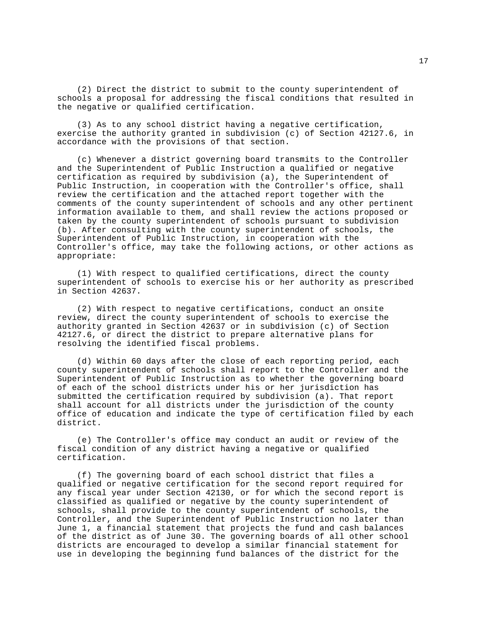(2) Direct the district to submit to the county superintendent of schools a proposal for addressing the fiscal conditions that resulted in the negative or qualified certification.

 (3) As to any school district having a negative certification, exercise the authority granted in subdivision (c) of Section 42127.6, in accordance with the provisions of that section.

 (c) Whenever a district governing board transmits to the Controller and the Superintendent of Public Instruction a qualified or negative certification as required by subdivision (a), the Superintendent of Public Instruction, in cooperation with the Controller's office, shall review the certification and the attached report together with the comments of the county superintendent of schools and any other pertinent information available to them, and shall review the actions proposed or taken by the county superintendent of schools pursuant to subdivision (b). After consulting with the county superintendent of schools, the Superintendent of Public Instruction, in cooperation with the Controller's office, may take the following actions, or other actions as appropriate:

 (1) With respect to qualified certifications, direct the county superintendent of schools to exercise his or her authority as prescribed in Section 42637.

 (2) With respect to negative certifications, conduct an onsite review, direct the county superintendent of schools to exercise the authority granted in Section 42637 or in subdivision (c) of Section 42127.6, or direct the district to prepare alternative plans for resolving the identified fiscal problems.

 (d) Within 60 days after the close of each reporting period, each county superintendent of schools shall report to the Controller and the Superintendent of Public Instruction as to whether the governing board of each of the school districts under his or her jurisdiction has submitted the certification required by subdivision (a). That report shall account for all districts under the jurisdiction of the county office of education and indicate the type of certification filed by each district.

 (e) The Controller's office may conduct an audit or review of the fiscal condition of any district having a negative or qualified certification.

 (f) The governing board of each school district that files a qualified or negative certification for the second report required for any fiscal year under Section 42130, or for which the second report is classified as qualified or negative by the county superintendent of schools, shall provide to the county superintendent of schools, the Controller, and the Superintendent of Public Instruction no later than June 1, a financial statement that projects the fund and cash balances of the district as of June 30. The governing boards of all other school districts are encouraged to develop a similar financial statement for use in developing the beginning fund balances of the district for the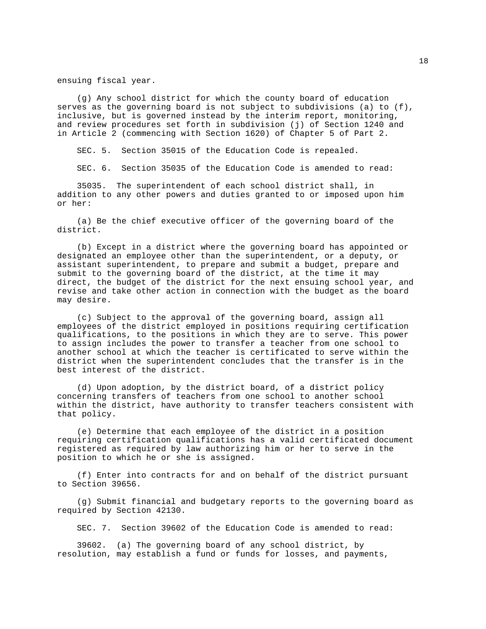ensuing fiscal year.

 (g) Any school district for which the county board of education serves as the governing board is not subject to subdivisions (a) to (f), inclusive, but is governed instead by the interim report, monitoring, and review procedures set forth in subdivision (j) of Section 1240 and in Article 2 (commencing with Section 1620) of Chapter 5 of Part 2.

SEC. 5. Section 35015 of the Education Code is repealed.

SEC. 6. Section 35035 of the Education Code is amended to read:

 35035. The superintendent of each school district shall, in addition to any other powers and duties granted to or imposed upon him or her:

 (a) Be the chief executive officer of the governing board of the district.

 (b) Except in a district where the governing board has appointed or designated an employee other than the superintendent, or a deputy, or assistant superintendent, to prepare and submit a budget, prepare and submit to the governing board of the district, at the time it may direct, the budget of the district for the next ensuing school year, and revise and take other action in connection with the budget as the board may desire.

 (c) Subject to the approval of the governing board, assign all employees of the district employed in positions requiring certification qualifications, to the positions in which they are to serve. This power to assign includes the power to transfer a teacher from one school to another school at which the teacher is certificated to serve within the district when the superintendent concludes that the transfer is in the best interest of the district.

 (d) Upon adoption, by the district board, of a district policy concerning transfers of teachers from one school to another school within the district, have authority to transfer teachers consistent with that policy.

 (e) Determine that each employee of the district in a position requiring certification qualifications has a valid certificated document registered as required by law authorizing him or her to serve in the position to which he or she is assigned.

 (f) Enter into contracts for and on behalf of the district pursuant to Section 39656.

 (g) Submit financial and budgetary reports to the governing board as required by Section 42130.

SEC. 7. Section 39602 of the Education Code is amended to read:

 39602. (a) The governing board of any school district, by resolution, may establish a fund or funds for losses, and payments,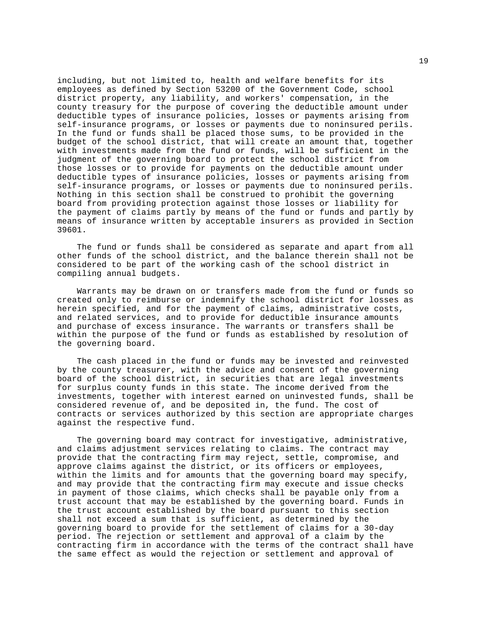including, but not limited to, health and welfare benefits for its employees as defined by Section 53200 of the Government Code, school district property, any liability, and workers' compensation, in the county treasury for the purpose of covering the deductible amount under deductible types of insurance policies, losses or payments arising from self-insurance programs, or losses or payments due to noninsured perils. In the fund or funds shall be placed those sums, to be provided in the budget of the school district, that will create an amount that, together with investments made from the fund or funds, will be sufficient in the judgment of the governing board to protect the school district from those losses or to provide for payments on the deductible amount under deductible types of insurance policies, losses or payments arising from self-insurance programs, or losses or payments due to noninsured perils. Nothing in this section shall be construed to prohibit the governing board from providing protection against those losses or liability for the payment of claims partly by means of the fund or funds and partly by means of insurance written by acceptable insurers as provided in Section 39601.

 The fund or funds shall be considered as separate and apart from all other funds of the school district, and the balance therein shall not be considered to be part of the working cash of the school district in compiling annual budgets.

 Warrants may be drawn on or transfers made from the fund or funds so created only to reimburse or indemnify the school district for losses as herein specified, and for the payment of claims, administrative costs, and related services, and to provide for deductible insurance amounts and purchase of excess insurance. The warrants or transfers shall be within the purpose of the fund or funds as established by resolution of the governing board.

 The cash placed in the fund or funds may be invested and reinvested by the county treasurer, with the advice and consent of the governing board of the school district, in securities that are legal investments for surplus county funds in this state. The income derived from the investments, together with interest earned on uninvested funds, shall be considered revenue of, and be deposited in, the fund. The cost of contracts or services authorized by this section are appropriate charges against the respective fund.

 The governing board may contract for investigative, administrative, and claims adjustment services relating to claims. The contract may provide that the contracting firm may reject, settle, compromise, and approve claims against the district, or its officers or employees, within the limits and for amounts that the governing board may specify, and may provide that the contracting firm may execute and issue checks in payment of those claims, which checks shall be payable only from a trust account that may be established by the governing board. Funds in the trust account established by the board pursuant to this section shall not exceed a sum that is sufficient, as determined by the governing board to provide for the settlement of claims for a 30-day period. The rejection or settlement and approval of a claim by the contracting firm in accordance with the terms of the contract shall have the same effect as would the rejection or settlement and approval of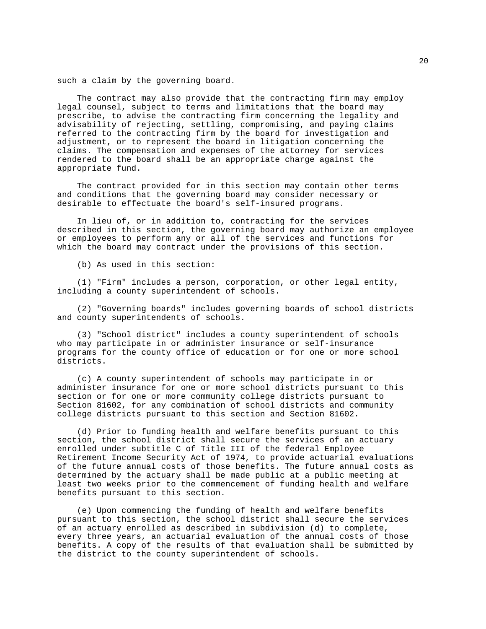such a claim by the governing board.

 The contract may also provide that the contracting firm may employ legal counsel, subject to terms and limitations that the board may prescribe, to advise the contracting firm concerning the legality and advisability of rejecting, settling, compromising, and paying claims referred to the contracting firm by the board for investigation and adjustment, or to represent the board in litigation concerning the claims. The compensation and expenses of the attorney for services rendered to the board shall be an appropriate charge against the appropriate fund.

 The contract provided for in this section may contain other terms and conditions that the governing board may consider necessary or desirable to effectuate the board's self-insured programs.

 In lieu of, or in addition to, contracting for the services described in this section, the governing board may authorize an employee or employees to perform any or all of the services and functions for which the board may contract under the provisions of this section.

(b) As used in this section:

 (1) "Firm" includes a person, corporation, or other legal entity, including a county superintendent of schools.

 (2) "Governing boards" includes governing boards of school districts and county superintendents of schools.

 (3) "School district" includes a county superintendent of schools who may participate in or administer insurance or self-insurance programs for the county office of education or for one or more school districts.

 (c) A county superintendent of schools may participate in or administer insurance for one or more school districts pursuant to this section or for one or more community college districts pursuant to Section 81602, for any combination of school districts and community college districts pursuant to this section and Section 81602.

 (d) Prior to funding health and welfare benefits pursuant to this section, the school district shall secure the services of an actuary enrolled under subtitle C of Title III of the federal Employee Retirement Income Security Act of 1974, to provide actuarial evaluations of the future annual costs of those benefits. The future annual costs as determined by the actuary shall be made public at a public meeting at least two weeks prior to the commencement of funding health and welfare benefits pursuant to this section.

 (e) Upon commencing the funding of health and welfare benefits pursuant to this section, the school district shall secure the services of an actuary enrolled as described in subdivision (d) to complete, every three years, an actuarial evaluation of the annual costs of those benefits. A copy of the results of that evaluation shall be submitted by the district to the county superintendent of schools.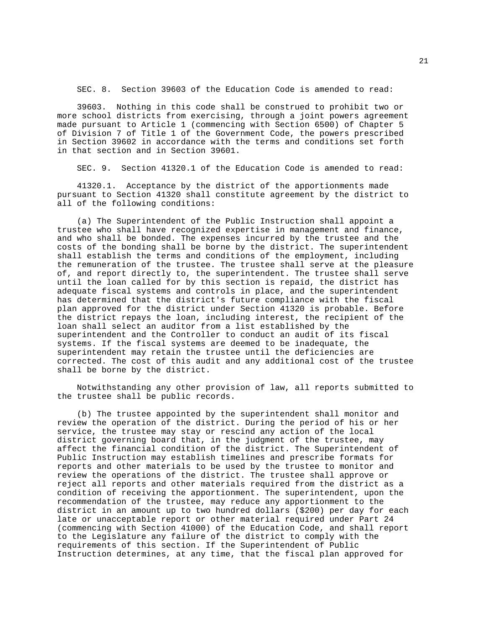SEC. 8. Section 39603 of the Education Code is amended to read:

 39603. Nothing in this code shall be construed to prohibit two or more school districts from exercising, through a joint powers agreement made pursuant to Article 1 (commencing with Section 6500) of Chapter 5 of Division 7 of Title 1 of the Government Code, the powers prescribed in Section 39602 in accordance with the terms and conditions set forth in that section and in Section 39601.

SEC. 9. Section 41320.1 of the Education Code is amended to read:

 41320.1. Acceptance by the district of the apportionments made pursuant to Section 41320 shall constitute agreement by the district to all of the following conditions:

 (a) The Superintendent of the Public Instruction shall appoint a trustee who shall have recognized expertise in management and finance, and who shall be bonded. The expenses incurred by the trustee and the costs of the bonding shall be borne by the district. The superintendent shall establish the terms and conditions of the employment, including the remuneration of the trustee. The trustee shall serve at the pleasure of, and report directly to, the superintendent. The trustee shall serve until the loan called for by this section is repaid, the district has adequate fiscal systems and controls in place, and the superintendent has determined that the district's future compliance with the fiscal plan approved for the district under Section 41320 is probable. Before the district repays the loan, including interest, the recipient of the loan shall select an auditor from a list established by the superintendent and the Controller to conduct an audit of its fiscal systems. If the fiscal systems are deemed to be inadequate, the superintendent may retain the trustee until the deficiencies are corrected. The cost of this audit and any additional cost of the trustee shall be borne by the district.

 Notwithstanding any other provision of law, all reports submitted to the trustee shall be public records.

 (b) The trustee appointed by the superintendent shall monitor and review the operation of the district. During the period of his or her service, the trustee may stay or rescind any action of the local district governing board that, in the judgment of the trustee, may affect the financial condition of the district. The Superintendent of Public Instruction may establish timelines and prescribe formats for reports and other materials to be used by the trustee to monitor and review the operations of the district. The trustee shall approve or reject all reports and other materials required from the district as a condition of receiving the apportionment. The superintendent, upon the recommendation of the trustee, may reduce any apportionment to the district in an amount up to two hundred dollars (\$200) per day for each late or unacceptable report or other material required under Part 24 (commencing with Section 41000) of the Education Code, and shall report to the Legislature any failure of the district to comply with the requirements of this section. If the Superintendent of Public Instruction determines, at any time, that the fiscal plan approved for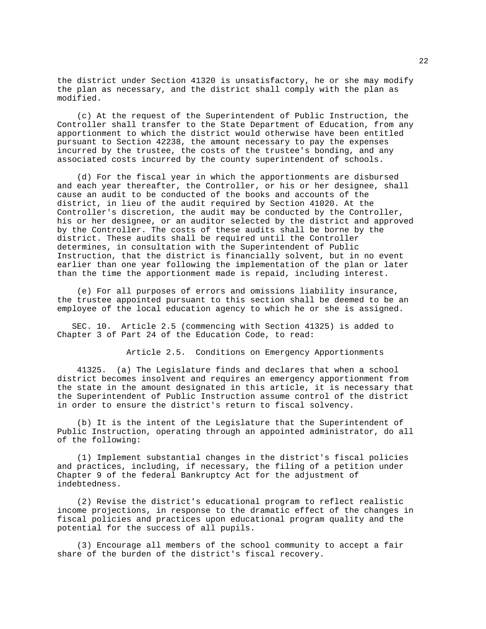the district under Section 41320 is unsatisfactory, he or she may modify the plan as necessary, and the district shall comply with the plan as modified.

 (c) At the request of the Superintendent of Public Instruction, the Controller shall transfer to the State Department of Education, from any apportionment to which the district would otherwise have been entitled pursuant to Section 42238, the amount necessary to pay the expenses incurred by the trustee, the costs of the trustee's bonding, and any associated costs incurred by the county superintendent of schools.

 (d) For the fiscal year in which the apportionments are disbursed and each year thereafter, the Controller, or his or her designee, shall cause an audit to be conducted of the books and accounts of the district, in lieu of the audit required by Section 41020. At the Controller's discretion, the audit may be conducted by the Controller, his or her designee, or an auditor selected by the district and approved by the Controller. The costs of these audits shall be borne by the district. These audits shall be required until the Controller determines, in consultation with the Superintendent of Public Instruction, that the district is financially solvent, but in no event earlier than one year following the implementation of the plan or later than the time the apportionment made is repaid, including interest.

 (e) For all purposes of errors and omissions liability insurance, the trustee appointed pursuant to this section shall be deemed to be an employee of the local education agency to which he or she is assigned.

 SEC. 10. Article 2.5 (commencing with Section 41325) is added to Chapter 3 of Part 24 of the Education Code, to read:

Article 2.5. Conditions on Emergency Apportionments

 41325. (a) The Legislature finds and declares that when a school district becomes insolvent and requires an emergency apportionment from the state in the amount designated in this article, it is necessary that the Superintendent of Public Instruction assume control of the district in order to ensure the district's return to fiscal solvency.

 (b) It is the intent of the Legislature that the Superintendent of Public Instruction, operating through an appointed administrator, do all of the following:

 (1) Implement substantial changes in the district's fiscal policies and practices, including, if necessary, the filing of a petition under Chapter 9 of the federal Bankruptcy Act for the adjustment of indebtedness.

 (2) Revise the district's educational program to reflect realistic income projections, in response to the dramatic effect of the changes in fiscal policies and practices upon educational program quality and the potential for the success of all pupils.

 (3) Encourage all members of the school community to accept a fair share of the burden of the district's fiscal recovery.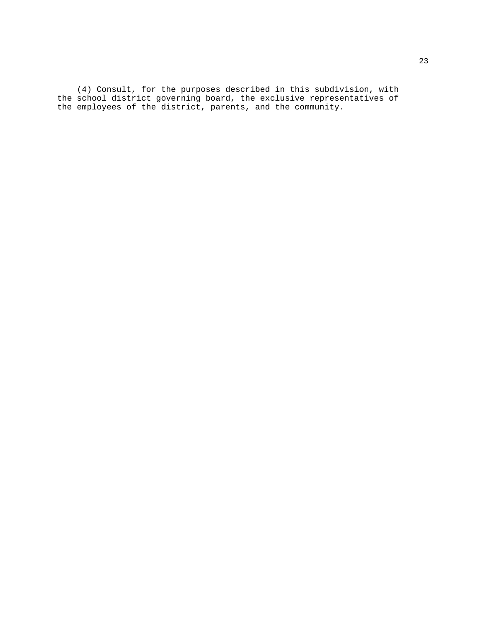(4) Consult, for the purposes described in this subdivision, with the school district governing board, the exclusive representatives of the employees of the district, parents, and the community.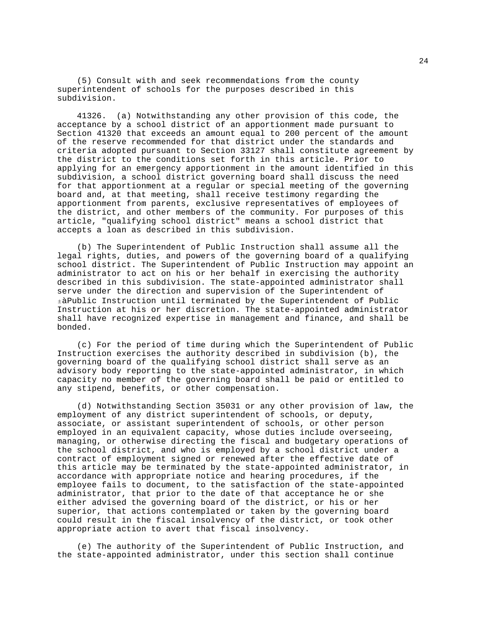(5) Consult with and seek recommendations from the county superintendent of schools for the purposes described in this subdivision.

 41326. (a) Notwithstanding any other provision of this code, the acceptance by a school district of an apportionment made pursuant to Section 41320 that exceeds an amount equal to 200 percent of the amount of the reserve recommended for that district under the standards and criteria adopted pursuant to Section 33127 shall constitute agreement by the district to the conditions set forth in this article. Prior to applying for an emergency apportionment in the amount identified in this subdivision, a school district governing board shall discuss the need for that apportionment at a regular or special meeting of the governing board and, at that meeting, shall receive testimony regarding the apportionment from parents, exclusive representatives of employees of the district, and other members of the community. For purposes of this article, "qualifying school district" means a school district that accepts a loan as described in this subdivision.

 (b) The Superintendent of Public Instruction shall assume all the legal rights, duties, and powers of the governing board of a qualifying school district. The Superintendent of Public Instruction may appoint an administrator to act on his or her behalf in exercising the authority described in this subdivision. The state-appointed administrator shall serve under the direction and supervision of the Superintendent of  $\pm$ àPublic Instruction until terminated by the Superintendent of Public Instruction at his or her discretion. The state-appointed administrator shall have recognized expertise in management and finance, and shall be bonded.

 (c) For the period of time during which the Superintendent of Public Instruction exercises the authority described in subdivision (b), the governing board of the qualifying school district shall serve as an advisory body reporting to the state-appointed administrator, in which capacity no member of the governing board shall be paid or entitled to any stipend, benefits, or other compensation.

 (d) Notwithstanding Section 35031 or any other provision of law, the employment of any district superintendent of schools, or deputy, associate, or assistant superintendent of schools, or other person employed in an equivalent capacity, whose duties include overseeing, managing, or otherwise directing the fiscal and budgetary operations of the school district, and who is employed by a school district under a contract of employment signed or renewed after the effective date of this article may be terminated by the state-appointed administrator, in accordance with appropriate notice and hearing procedures, if the employee fails to document, to the satisfaction of the state-appointed administrator, that prior to the date of that acceptance he or she either advised the governing board of the district, or his or her superior, that actions contemplated or taken by the governing board could result in the fiscal insolvency of the district, or took other appropriate action to avert that fiscal insolvency.

 (e) The authority of the Superintendent of Public Instruction, and the state-appointed administrator, under this section shall continue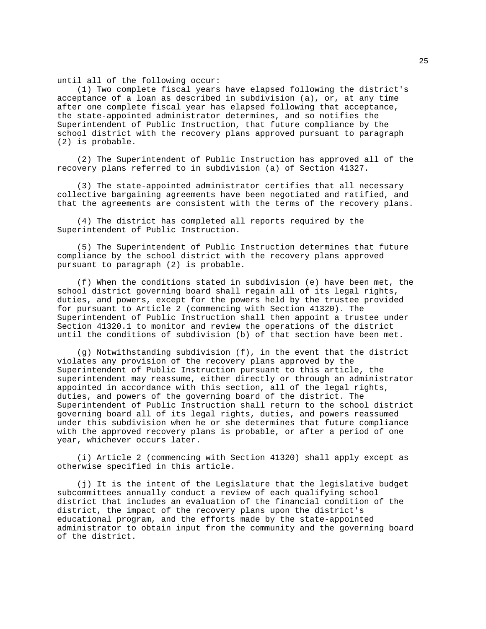until all of the following occur:

 (1) Two complete fiscal years have elapsed following the district's acceptance of a loan as described in subdivision (a), or, at any time after one complete fiscal year has elapsed following that acceptance, the state-appointed administrator determines, and so notifies the Superintendent of Public Instruction, that future compliance by the school district with the recovery plans approved pursuant to paragraph (2) is probable.

 (2) The Superintendent of Public Instruction has approved all of the recovery plans referred to in subdivision (a) of Section 41327.

 (3) The state-appointed administrator certifies that all necessary collective bargaining agreements have been negotiated and ratified, and that the agreements are consistent with the terms of the recovery plans.

 (4) The district has completed all reports required by the Superintendent of Public Instruction.

 (5) The Superintendent of Public Instruction determines that future compliance by the school district with the recovery plans approved pursuant to paragraph (2) is probable.

 (f) When the conditions stated in subdivision (e) have been met, the school district governing board shall regain all of its legal rights, duties, and powers, except for the powers held by the trustee provided for pursuant to Article 2 (commencing with Section 41320). The Superintendent of Public Instruction shall then appoint a trustee under Section 41320.1 to monitor and review the operations of the district until the conditions of subdivision (b) of that section have been met.

 (g) Notwithstanding subdivision (f), in the event that the district violates any provision of the recovery plans approved by the Superintendent of Public Instruction pursuant to this article, the superintendent may reassume, either directly or through an administrator appointed in accordance with this section, all of the legal rights, duties, and powers of the governing board of the district. The Superintendent of Public Instruction shall return to the school district governing board all of its legal rights, duties, and powers reassumed under this subdivision when he or she determines that future compliance with the approved recovery plans is probable, or after a period of one year, whichever occurs later.

 (i) Article 2 (commencing with Section 41320) shall apply except as otherwise specified in this article.

 (j) It is the intent of the Legislature that the legislative budget subcommittees annually conduct a review of each qualifying school district that includes an evaluation of the financial condition of the district, the impact of the recovery plans upon the district's educational program, and the efforts made by the state-appointed administrator to obtain input from the community and the governing board of the district.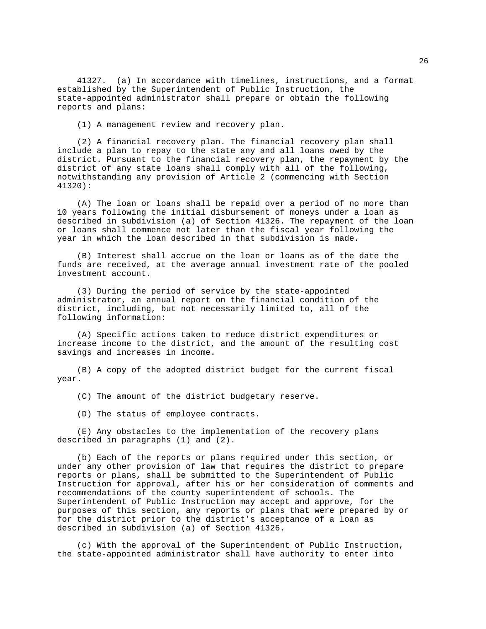41327. (a) In accordance with timelines, instructions, and a format established by the Superintendent of Public Instruction, the state-appointed administrator shall prepare or obtain the following reports and plans:

(1) A management review and recovery plan.

 (2) A financial recovery plan. The financial recovery plan shall include a plan to repay to the state any and all loans owed by the district. Pursuant to the financial recovery plan, the repayment by the district of any state loans shall comply with all of the following, notwithstanding any provision of Article 2 (commencing with Section 41320):

 (A) The loan or loans shall be repaid over a period of no more than 10 years following the initial disbursement of moneys under a loan as described in subdivision (a) of Section 41326. The repayment of the loan or loans shall commence not later than the fiscal year following the year in which the loan described in that subdivision is made.

 (B) Interest shall accrue on the loan or loans as of the date the funds are received, at the average annual investment rate of the pooled investment account.

 (3) During the period of service by the state-appointed administrator, an annual report on the financial condition of the district, including, but not necessarily limited to, all of the following information:

 (A) Specific actions taken to reduce district expenditures or increase income to the district, and the amount of the resulting cost savings and increases in income.

 (B) A copy of the adopted district budget for the current fiscal year.

(C) The amount of the district budgetary reserve.

(D) The status of employee contracts.

 (E) Any obstacles to the implementation of the recovery plans described in paragraphs (1) and (2).

 (b) Each of the reports or plans required under this section, or under any other provision of law that requires the district to prepare reports or plans, shall be submitted to the Superintendent of Public Instruction for approval, after his or her consideration of comments and recommendations of the county superintendent of schools. The Superintendent of Public Instruction may accept and approve, for the purposes of this section, any reports or plans that were prepared by or for the district prior to the district's acceptance of a loan as described in subdivision (a) of Section 41326.

 (c) With the approval of the Superintendent of Public Instruction, the state-appointed administrator shall have authority to enter into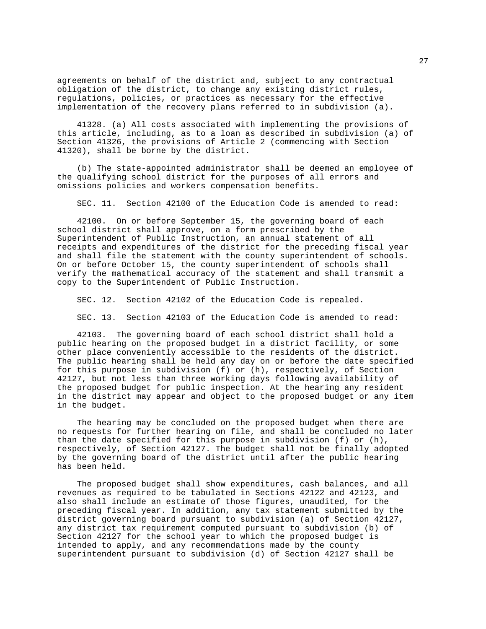agreements on behalf of the district and, subject to any contractual obligation of the district, to change any existing district rules, regulations, policies, or practices as necessary for the effective implementation of the recovery plans referred to in subdivision (a).

 41328. (a) All costs associated with implementing the provisions of this article, including, as to a loan as described in subdivision (a) of Section 41326, the provisions of Article 2 (commencing with Section 41320), shall be borne by the district.

 (b) The state-appointed administrator shall be deemed an employee of the qualifying school district for the purposes of all errors and omissions policies and workers compensation benefits.

SEC. 11. Section 42100 of the Education Code is amended to read:

 42100. On or before September 15, the governing board of each school district shall approve, on a form prescribed by the Superintendent of Public Instruction, an annual statement of all receipts and expenditures of the district for the preceding fiscal year and shall file the statement with the county superintendent of schools. On or before October 15, the county superintendent of schools shall verify the mathematical accuracy of the statement and shall transmit a copy to the Superintendent of Public Instruction.

SEC. 12. Section 42102 of the Education Code is repealed.

SEC. 13. Section 42103 of the Education Code is amended to read:

 42103. The governing board of each school district shall hold a public hearing on the proposed budget in a district facility, or some other place conveniently accessible to the residents of the district. The public hearing shall be held any day on or before the date specified for this purpose in subdivision (f) or (h), respectively, of Section 42127, but not less than three working days following availability of the proposed budget for public inspection. At the hearing any resident in the district may appear and object to the proposed budget or any item in the budget.

 The hearing may be concluded on the proposed budget when there are no requests for further hearing on file, and shall be concluded no later than the date specified for this purpose in subdivision (f) or (h), respectively, of Section 42127. The budget shall not be finally adopted by the governing board of the district until after the public hearing has been held.

 The proposed budget shall show expenditures, cash balances, and all revenues as required to be tabulated in Sections 42122 and 42123, and also shall include an estimate of those figures, unaudited, for the preceding fiscal year. In addition, any tax statement submitted by the district governing board pursuant to subdivision (a) of Section 42127, any district tax requirement computed pursuant to subdivision (b) of Section 42127 for the school year to which the proposed budget is intended to apply, and any recommendations made by the county superintendent pursuant to subdivision (d) of Section 42127 shall be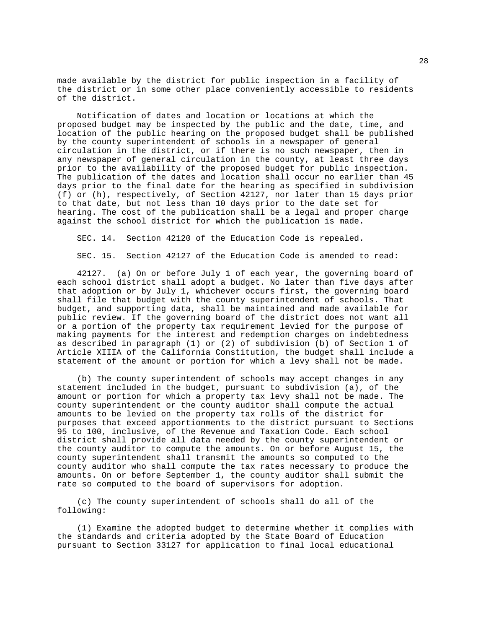made available by the district for public inspection in a facility of the district or in some other place conveniently accessible to residents of the district.

 Notification of dates and location or locations at which the proposed budget may be inspected by the public and the date, time, and location of the public hearing on the proposed budget shall be published by the county superintendent of schools in a newspaper of general circulation in the district, or if there is no such newspaper, then in any newspaper of general circulation in the county, at least three days prior to the availability of the proposed budget for public inspection. The publication of the dates and location shall occur no earlier than 45 days prior to the final date for the hearing as specified in subdivision (f) or (h), respectively, of Section 42127, nor later than 15 days prior to that date, but not less than 10 days prior to the date set for hearing. The cost of the publication shall be a legal and proper charge against the school district for which the publication is made.

SEC. 14. Section 42120 of the Education Code is repealed.

SEC. 15. Section 42127 of the Education Code is amended to read:

 42127. (a) On or before July 1 of each year, the governing board of each school district shall adopt a budget. No later than five days after that adoption or by July 1, whichever occurs first, the governing board shall file that budget with the county superintendent of schools. That budget, and supporting data, shall be maintained and made available for public review. If the governing board of the district does not want all or a portion of the property tax requirement levied for the purpose of making payments for the interest and redemption charges on indebtedness as described in paragraph (1) or (2) of subdivision (b) of Section 1 of Article XIIIA of the California Constitution, the budget shall include a statement of the amount or portion for which a levy shall not be made.

 (b) The county superintendent of schools may accept changes in any statement included in the budget, pursuant to subdivision (a), of the amount or portion for which a property tax levy shall not be made. The county superintendent or the county auditor shall compute the actual amounts to be levied on the property tax rolls of the district for purposes that exceed apportionments to the district pursuant to Sections 95 to 100, inclusive, of the Revenue and Taxation Code. Each school district shall provide all data needed by the county superintendent or the county auditor to compute the amounts. On or before August 15, the county superintendent shall transmit the amounts so computed to the county auditor who shall compute the tax rates necessary to produce the amounts. On or before September 1, the county auditor shall submit the rate so computed to the board of supervisors for adoption.

 (c) The county superintendent of schools shall do all of the following:

 (1) Examine the adopted budget to determine whether it complies with the standards and criteria adopted by the State Board of Education pursuant to Section 33127 for application to final local educational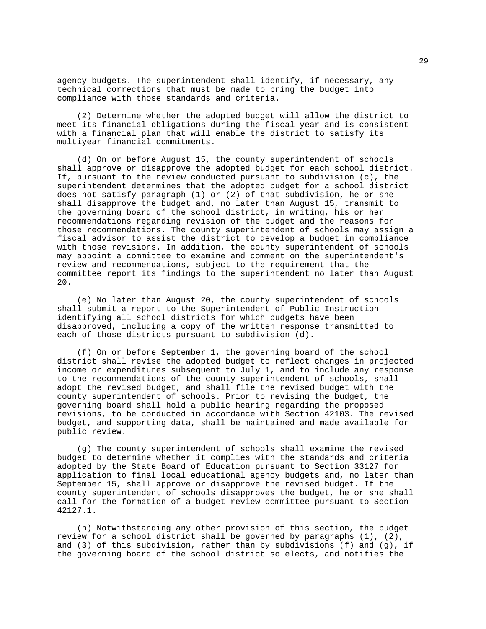agency budgets. The superintendent shall identify, if necessary, any technical corrections that must be made to bring the budget into compliance with those standards and criteria.

 (2) Determine whether the adopted budget will allow the district to meet its financial obligations during the fiscal year and is consistent with a financial plan that will enable the district to satisfy its multiyear financial commitments.

 (d) On or before August 15, the county superintendent of schools shall approve or disapprove the adopted budget for each school district. If, pursuant to the review conducted pursuant to subdivision (c), the superintendent determines that the adopted budget for a school district does not satisfy paragraph (1) or (2) of that subdivision, he or she shall disapprove the budget and, no later than August 15, transmit to the governing board of the school district, in writing, his or her recommendations regarding revision of the budget and the reasons for those recommendations. The county superintendent of schools may assign a fiscal advisor to assist the district to develop a budget in compliance with those revisions. In addition, the county superintendent of schools may appoint a committee to examine and comment on the superintendent's review and recommendations, subject to the requirement that the committee report its findings to the superintendent no later than August 20.

 (e) No later than August 20, the county superintendent of schools shall submit a report to the Superintendent of Public Instruction identifying all school districts for which budgets have been disapproved, including a copy of the written response transmitted to each of those districts pursuant to subdivision (d).

 (f) On or before September 1, the governing board of the school district shall revise the adopted budget to reflect changes in projected income or expenditures subsequent to July 1, and to include any response to the recommendations of the county superintendent of schools, shall adopt the revised budget, and shall file the revised budget with the county superintendent of schools. Prior to revising the budget, the governing board shall hold a public hearing regarding the proposed revisions, to be conducted in accordance with Section 42103. The revised budget, and supporting data, shall be maintained and made available for public review.

 (g) The county superintendent of schools shall examine the revised budget to determine whether it complies with the standards and criteria adopted by the State Board of Education pursuant to Section 33127 for application to final local educational agency budgets and, no later than September 15, shall approve or disapprove the revised budget. If the county superintendent of schools disapproves the budget, he or she shall call for the formation of a budget review committee pursuant to Section 42127.1.

 (h) Notwithstanding any other provision of this section, the budget review for a school district shall be governed by paragraphs (1), (2), and (3) of this subdivision, rather than by subdivisions (f) and (g), if the governing board of the school district so elects, and notifies the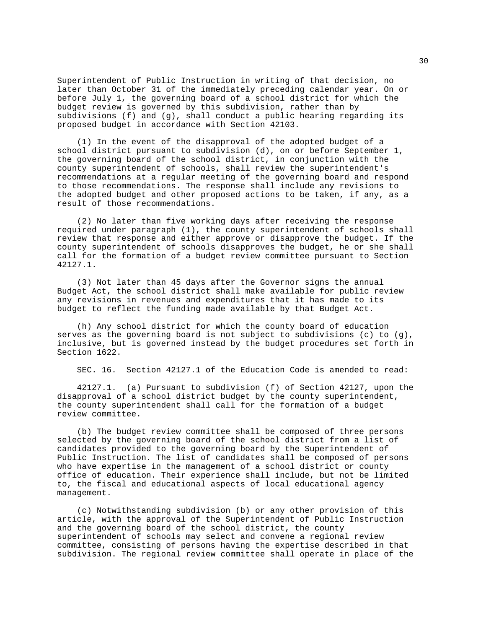Superintendent of Public Instruction in writing of that decision, no later than October 31 of the immediately preceding calendar year. On or before July 1, the governing board of a school district for which the budget review is governed by this subdivision, rather than by subdivisions (f) and (g), shall conduct a public hearing regarding its proposed budget in accordance with Section 42103.

 (1) In the event of the disapproval of the adopted budget of a school district pursuant to subdivision (d), on or before September 1, the governing board of the school district, in conjunction with the county superintendent of schools, shall review the superintendent's recommendations at a regular meeting of the governing board and respond to those recommendations. The response shall include any revisions to the adopted budget and other proposed actions to be taken, if any, as a result of those recommendations.

 (2) No later than five working days after receiving the response required under paragraph (1), the county superintendent of schools shall review that response and either approve or disapprove the budget. If the county superintendent of schools disapproves the budget, he or she shall call for the formation of a budget review committee pursuant to Section 42127.1.

 (3) Not later than 45 days after the Governor signs the annual Budget Act, the school district shall make available for public review any revisions in revenues and expenditures that it has made to its budget to reflect the funding made available by that Budget Act.

 (h) Any school district for which the county board of education serves as the governing board is not subject to subdivisions (c) to (g), inclusive, but is governed instead by the budget procedures set forth in Section 1622.

SEC. 16. Section 42127.1 of the Education Code is amended to read:

 42127.1. (a) Pursuant to subdivision (f) of Section 42127, upon the disapproval of a school district budget by the county superintendent, the county superintendent shall call for the formation of a budget review committee.

 (b) The budget review committee shall be composed of three persons selected by the governing board of the school district from a list of candidates provided to the governing board by the Superintendent of Public Instruction. The list of candidates shall be composed of persons who have expertise in the management of a school district or county office of education. Their experience shall include, but not be limited to, the fiscal and educational aspects of local educational agency management.

 (c) Notwithstanding subdivision (b) or any other provision of this article, with the approval of the Superintendent of Public Instruction and the governing board of the school district, the county superintendent of schools may select and convene a regional review committee, consisting of persons having the expertise described in that subdivision. The regional review committee shall operate in place of the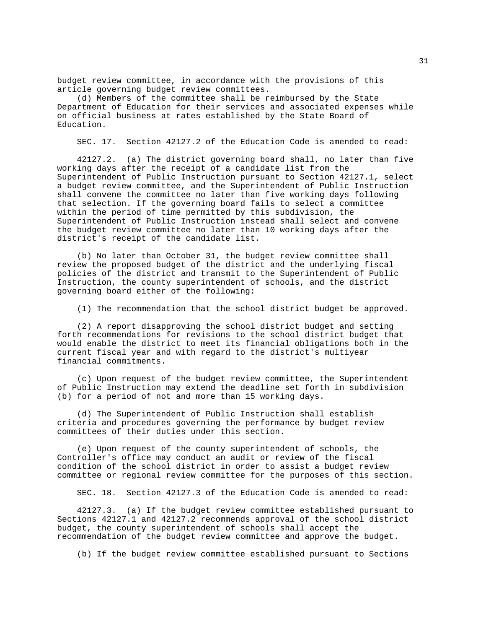budget review committee, in accordance with the provisions of this article governing budget review committees.

 (d) Members of the committee shall be reimbursed by the State Department of Education for their services and associated expenses while on official business at rates established by the State Board of Education.

SEC. 17. Section 42127.2 of the Education Code is amended to read:

 42127.2. (a) The district governing board shall, no later than five working days after the receipt of a candidate list from the Superintendent of Public Instruction pursuant to Section 42127.1, select a budget review committee, and the Superintendent of Public Instruction shall convene the committee no later than five working days following that selection. If the governing board fails to select a committee within the period of time permitted by this subdivision, the Superintendent of Public Instruction instead shall select and convene the budget review committee no later than 10 working days after the district's receipt of the candidate list.

 (b) No later than October 31, the budget review committee shall review the proposed budget of the district and the underlying fiscal policies of the district and transmit to the Superintendent of Public Instruction, the county superintendent of schools, and the district governing board either of the following:

(1) The recommendation that the school district budget be approved.

 (2) A report disapproving the school district budget and setting forth recommendations for revisions to the school district budget that would enable the district to meet its financial obligations both in the current fiscal year and with regard to the district's multiyear financial commitments.

 (c) Upon request of the budget review committee, the Superintendent of Public Instruction may extend the deadline set forth in subdivision (b) for a period of not and more than 15 working days.

 (d) The Superintendent of Public Instruction shall establish criteria and procedures governing the performance by budget review committees of their duties under this section.

 (e) Upon request of the county superintendent of schools, the Controller's office may conduct an audit or review of the fiscal condition of the school district in order to assist a budget review committee or regional review committee for the purposes of this section.

SEC. 18. Section 42127.3 of the Education Code is amended to read:

 42127.3. (a) If the budget review committee established pursuant to Sections 42127.1 and 42127.2 recommends approval of the school district budget, the county superintendent of schools shall accept the recommendation of the budget review committee and approve the budget.

(b) If the budget review committee established pursuant to Sections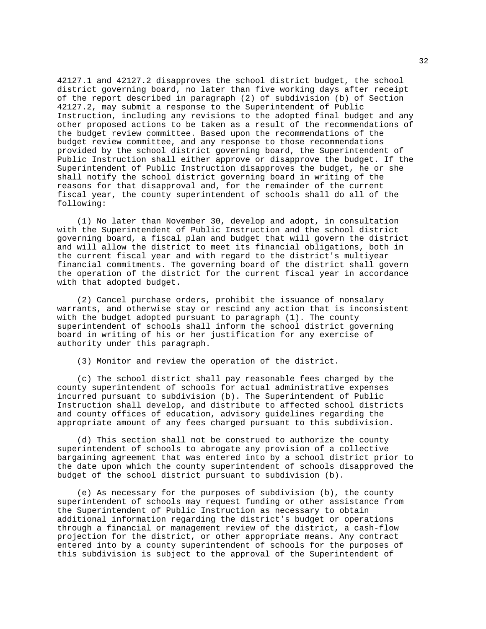42127.1 and 42127.2 disapproves the school district budget, the school district governing board, no later than five working days after receipt of the report described in paragraph (2) of subdivision (b) of Section 42127.2, may submit a response to the Superintendent of Public Instruction, including any revisions to the adopted final budget and any other proposed actions to be taken as a result of the recommendations of the budget review committee. Based upon the recommendations of the budget review committee, and any response to those recommendations provided by the school district governing board, the Superintendent of Public Instruction shall either approve or disapprove the budget. If the Superintendent of Public Instruction disapproves the budget, he or she shall notify the school district governing board in writing of the reasons for that disapproval and, for the remainder of the current fiscal year, the county superintendent of schools shall do all of the following:

 (1) No later than November 30, develop and adopt, in consultation with the Superintendent of Public Instruction and the school district governing board, a fiscal plan and budget that will govern the district and will allow the district to meet its financial obligations, both in the current fiscal year and with regard to the district's multiyear financial commitments. The governing board of the district shall govern the operation of the district for the current fiscal year in accordance with that adopted budget.

 (2) Cancel purchase orders, prohibit the issuance of nonsalary warrants, and otherwise stay or rescind any action that is inconsistent with the budget adopted pursuant to paragraph (1). The county superintendent of schools shall inform the school district governing board in writing of his or her justification for any exercise of authority under this paragraph.

(3) Monitor and review the operation of the district.

 (c) The school district shall pay reasonable fees charged by the county superintendent of schools for actual administrative expenses incurred pursuant to subdivision (b). The Superintendent of Public Instruction shall develop, and distribute to affected school districts and county offices of education, advisory guidelines regarding the appropriate amount of any fees charged pursuant to this subdivision.

 (d) This section shall not be construed to authorize the county superintendent of schools to abrogate any provision of a collective bargaining agreement that was entered into by a school district prior to the date upon which the county superintendent of schools disapproved the budget of the school district pursuant to subdivision (b).

 (e) As necessary for the purposes of subdivision (b), the county superintendent of schools may request funding or other assistance from the Superintendent of Public Instruction as necessary to obtain additional information regarding the district's budget or operations through a financial or management review of the district, a cash-flow projection for the district, or other appropriate means. Any contract entered into by a county superintendent of schools for the purposes of this subdivision is subject to the approval of the Superintendent of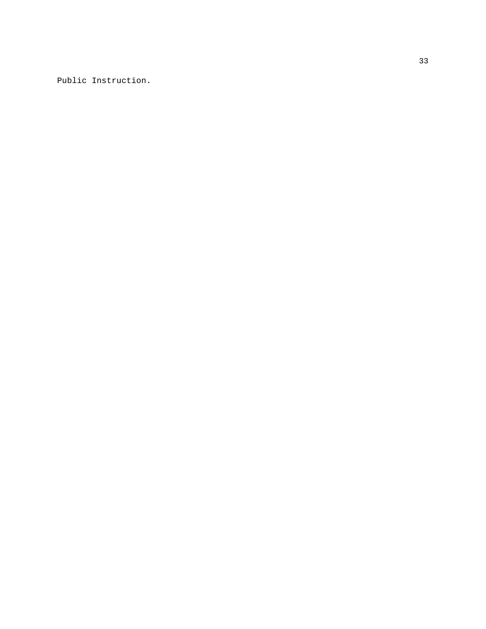Public Instruction.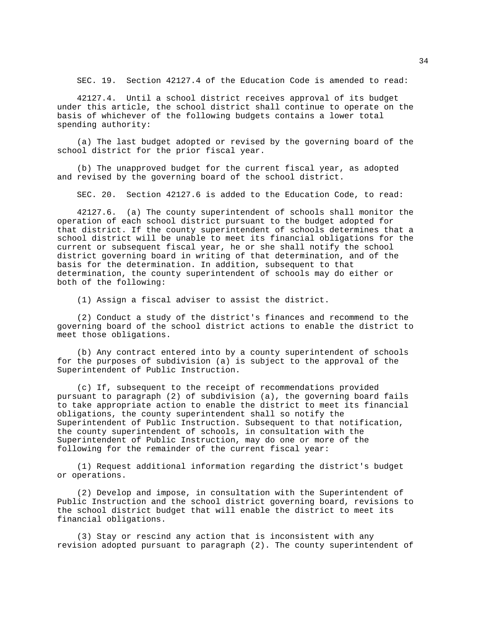SEC. 19. Section 42127.4 of the Education Code is amended to read:

 42127.4. Until a school district receives approval of its budget under this article, the school district shall continue to operate on the basis of whichever of the following budgets contains a lower total spending authority:

 (a) The last budget adopted or revised by the governing board of the school district for the prior fiscal year.

 (b) The unapproved budget for the current fiscal year, as adopted and revised by the governing board of the school district.

SEC. 20. Section 42127.6 is added to the Education Code, to read:

 42127.6. (a) The county superintendent of schools shall monitor the operation of each school district pursuant to the budget adopted for that district. If the county superintendent of schools determines that a school district will be unable to meet its financial obligations for the current or subsequent fiscal year, he or she shall notify the school district governing board in writing of that determination, and of the basis for the determination. In addition, subsequent to that determination, the county superintendent of schools may do either or both of the following:

(1) Assign a fiscal adviser to assist the district.

 (2) Conduct a study of the district's finances and recommend to the governing board of the school district actions to enable the district to meet those obligations.

 (b) Any contract entered into by a county superintendent of schools for the purposes of subdivision (a) is subject to the approval of the Superintendent of Public Instruction.

 (c) If, subsequent to the receipt of recommendations provided pursuant to paragraph (2) of subdivision (a), the governing board fails to take appropriate action to enable the district to meet its financial obligations, the county superintendent shall so notify the Superintendent of Public Instruction. Subsequent to that notification, the county superintendent of schools, in consultation with the Superintendent of Public Instruction, may do one or more of the following for the remainder of the current fiscal year:

 (1) Request additional information regarding the district's budget or operations.

 (2) Develop and impose, in consultation with the Superintendent of Public Instruction and the school district governing board, revisions to the school district budget that will enable the district to meet its financial obligations.

 (3) Stay or rescind any action that is inconsistent with any revision adopted pursuant to paragraph (2). The county superintendent of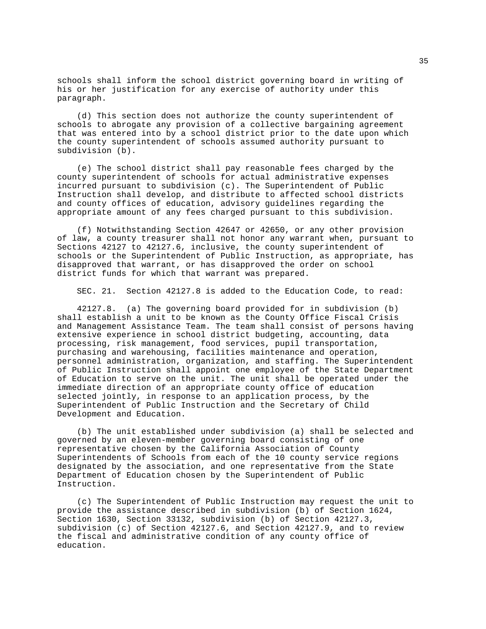schools shall inform the school district governing board in writing of his or her justification for any exercise of authority under this paragraph.

 (d) This section does not authorize the county superintendent of schools to abrogate any provision of a collective bargaining agreement that was entered into by a school district prior to the date upon which the county superintendent of schools assumed authority pursuant to subdivision (b).

 (e) The school district shall pay reasonable fees charged by the county superintendent of schools for actual administrative expenses incurred pursuant to subdivision (c). The Superintendent of Public Instruction shall develop, and distribute to affected school districts and county offices of education, advisory guidelines regarding the appropriate amount of any fees charged pursuant to this subdivision.

 (f) Notwithstanding Section 42647 or 42650, or any other provision of law, a county treasurer shall not honor any warrant when, pursuant to Sections 42127 to 42127.6, inclusive, the county superintendent of schools or the Superintendent of Public Instruction, as appropriate, has disapproved that warrant, or has disapproved the order on school district funds for which that warrant was prepared.

SEC. 21. Section 42127.8 is added to the Education Code, to read:

 42127.8. (a) The governing board provided for in subdivision (b) shall establish a unit to be known as the County Office Fiscal Crisis and Management Assistance Team. The team shall consist of persons having extensive experience in school district budgeting, accounting, data processing, risk management, food services, pupil transportation, purchasing and warehousing, facilities maintenance and operation, personnel administration, organization, and staffing. The Superintendent of Public Instruction shall appoint one employee of the State Department of Education to serve on the unit. The unit shall be operated under the immediate direction of an appropriate county office of education selected jointly, in response to an application process, by the Superintendent of Public Instruction and the Secretary of Child Development and Education.

 (b) The unit established under subdivision (a) shall be selected and governed by an eleven-member governing board consisting of one representative chosen by the California Association of County Superintendents of Schools from each of the 10 county service regions designated by the association, and one representative from the State Department of Education chosen by the Superintendent of Public Instruction.

 (c) The Superintendent of Public Instruction may request the unit to provide the assistance described in subdivision (b) of Section 1624, Section 1630, Section 33132, subdivision (b) of Section 42127.3, subdivision (c) of Section 42127.6, and Section 42127.9, and to review the fiscal and administrative condition of any county office of education.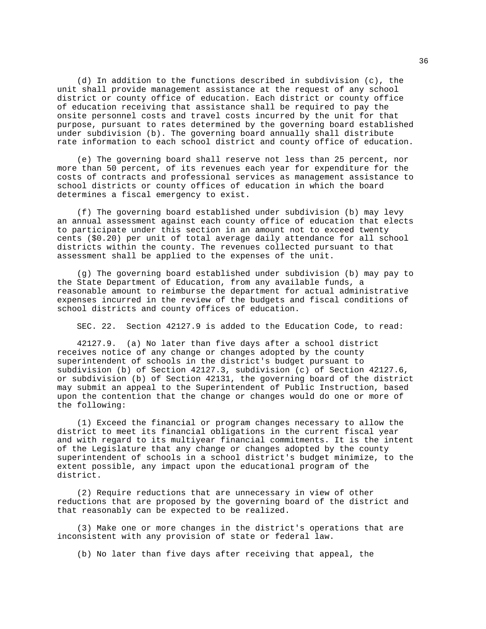(d) In addition to the functions described in subdivision (c), the unit shall provide management assistance at the request of any school district or county office of education. Each district or county office of education receiving that assistance shall be required to pay the onsite personnel costs and travel costs incurred by the unit for that purpose, pursuant to rates determined by the governing board established under subdivision (b). The governing board annually shall distribute rate information to each school district and county office of education.

 (e) The governing board shall reserve not less than 25 percent, nor more than 50 percent, of its revenues each year for expenditure for the costs of contracts and professional services as management assistance to school districts or county offices of education in which the board determines a fiscal emergency to exist.

 (f) The governing board established under subdivision (b) may levy an annual assessment against each county office of education that elects to participate under this section in an amount not to exceed twenty cents (\$0.20) per unit of total average daily attendance for all school districts within the county. The revenues collected pursuant to that assessment shall be applied to the expenses of the unit.

 (g) The governing board established under subdivision (b) may pay to the State Department of Education, from any available funds, a reasonable amount to reimburse the department for actual administrative expenses incurred in the review of the budgets and fiscal conditions of school districts and county offices of education.

SEC. 22. Section 42127.9 is added to the Education Code, to read:

 42127.9. (a) No later than five days after a school district receives notice of any change or changes adopted by the county superintendent of schools in the district's budget pursuant to subdivision (b) of Section 42127.3, subdivision (c) of Section 42127.6, or subdivision (b) of Section 42131, the governing board of the district may submit an appeal to the Superintendent of Public Instruction, based upon the contention that the change or changes would do one or more of the following:

 (1) Exceed the financial or program changes necessary to allow the district to meet its financial obligations in the current fiscal year and with regard to its multiyear financial commitments. It is the intent of the Legislature that any change or changes adopted by the county superintendent of schools in a school district's budget minimize, to the extent possible, any impact upon the educational program of the district.

 (2) Require reductions that are unnecessary in view of other reductions that are proposed by the governing board of the district and that reasonably can be expected to be realized.

 (3) Make one or more changes in the district's operations that are inconsistent with any provision of state or federal law.

(b) No later than five days after receiving that appeal, the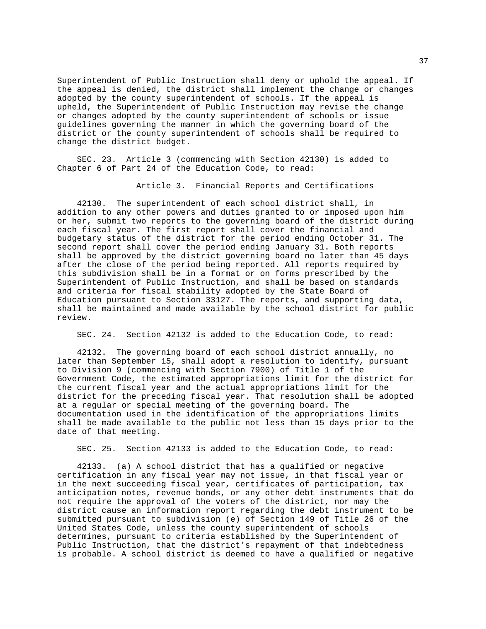Superintendent of Public Instruction shall deny or uphold the appeal. If the appeal is denied, the district shall implement the change or changes adopted by the county superintendent of schools. If the appeal is upheld, the Superintendent of Public Instruction may revise the change or changes adopted by the county superintendent of schools or issue guidelines governing the manner in which the governing board of the district or the county superintendent of schools shall be required to change the district budget.

 SEC. 23. Article 3 (commencing with Section 42130) is added to Chapter 6 of Part 24 of the Education Code, to read:

Article 3. Financial Reports and Certifications

 42130. The superintendent of each school district shall, in addition to any other powers and duties granted to or imposed upon him or her, submit two reports to the governing board of the district during each fiscal year. The first report shall cover the financial and budgetary status of the district for the period ending October 31. The second report shall cover the period ending January 31. Both reports shall be approved by the district governing board no later than 45 days after the close of the period being reported. All reports required by this subdivision shall be in a format or on forms prescribed by the Superintendent of Public Instruction, and shall be based on standards and criteria for fiscal stability adopted by the State Board of Education pursuant to Section 33127. The reports, and supporting data, shall be maintained and made available by the school district for public review.

SEC. 24. Section 42132 is added to the Education Code, to read:

 42132. The governing board of each school district annually, no later than September 15, shall adopt a resolution to identify, pursuant to Division 9 (commencing with Section 7900) of Title 1 of the Government Code, the estimated appropriations limit for the district for the current fiscal year and the actual appropriations limit for the district for the preceding fiscal year. That resolution shall be adopted at a regular or special meeting of the governing board. The documentation used in the identification of the appropriations limits shall be made available to the public not less than 15 days prior to the date of that meeting.

SEC. 25. Section 42133 is added to the Education Code, to read:

 42133. (a) A school district that has a qualified or negative certification in any fiscal year may not issue, in that fiscal year or in the next succeeding fiscal year, certificates of participation, tax anticipation notes, revenue bonds, or any other debt instruments that do not require the approval of the voters of the district, nor may the district cause an information report regarding the debt instrument to be submitted pursuant to subdivision (e) of Section 149 of Title 26 of the United States Code, unless the county superintendent of schools determines, pursuant to criteria established by the Superintendent of Public Instruction, that the district's repayment of that indebtedness is probable. A school district is deemed to have a qualified or negative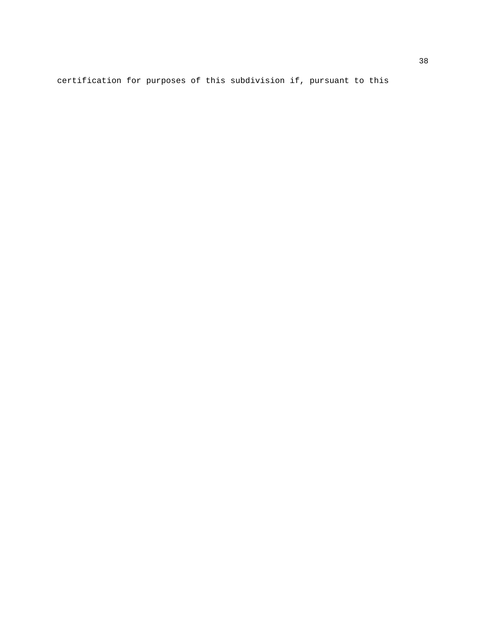certification for purposes of this subdivision if, pursuant to this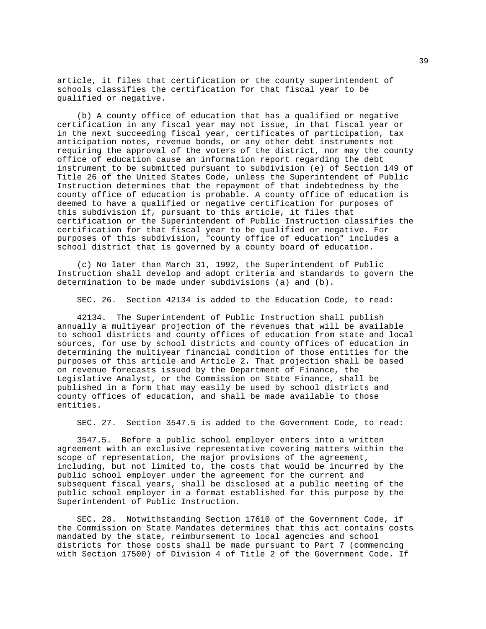article, it files that certification or the county superintendent of schools classifies the certification for that fiscal year to be qualified or negative.

 (b) A county office of education that has a qualified or negative certification in any fiscal year may not issue, in that fiscal year or in the next succeeding fiscal year, certificates of participation, tax anticipation notes, revenue bonds, or any other debt instruments not requiring the approval of the voters of the district, nor may the county office of education cause an information report regarding the debt instrument to be submitted pursuant to subdivision (e) of Section 149 of Title 26 of the United States Code, unless the Superintendent of Public Instruction determines that the repayment of that indebtedness by the county office of education is probable. A county office of education is deemed to have a qualified or negative certification for purposes of this subdivision if, pursuant to this article, it files that certification or the Superintendent of Public Instruction classifies the certification for that fiscal year to be qualified or negative. For purposes of this subdivision, "county office of education" includes a school district that is governed by a county board of education.

 (c) No later than March 31, 1992, the Superintendent of Public Instruction shall develop and adopt criteria and standards to govern the determination to be made under subdivisions (a) and (b).

SEC. 26. Section 42134 is added to the Education Code, to read:

 42134. The Superintendent of Public Instruction shall publish annually a multiyear projection of the revenues that will be available to school districts and county offices of education from state and local sources, for use by school districts and county offices of education in determining the multiyear financial condition of those entities for the purposes of this article and Article 2. That projection shall be based on revenue forecasts issued by the Department of Finance, the Legislative Analyst, or the Commission on State Finance, shall be published in a form that may easily be used by school districts and county offices of education, and shall be made available to those entities.

SEC. 27. Section 3547.5 is added to the Government Code, to read:

 3547.5. Before a public school employer enters into a written agreement with an exclusive representative covering matters within the scope of representation, the major provisions of the agreement, including, but not limited to, the costs that would be incurred by the public school employer under the agreement for the current and subsequent fiscal years, shall be disclosed at a public meeting of the public school employer in a format established for this purpose by the Superintendent of Public Instruction.

 SEC. 28. Notwithstanding Section 17610 of the Government Code, if the Commission on State Mandates determines that this act contains costs mandated by the state, reimbursement to local agencies and school districts for those costs shall be made pursuant to Part 7 (commencing with Section 17500) of Division 4 of Title 2 of the Government Code. If